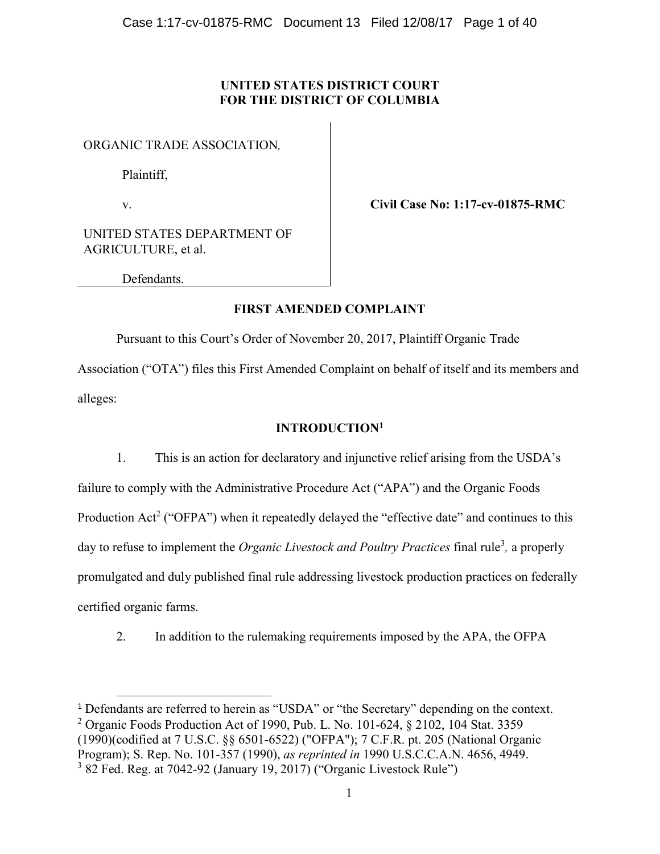# UNITED STATES DISTRICT COURT FOR THE DISTRICT OF COLUMBIA

ORGANIC TRADE ASSOCIATION*,* 

Plaintiff,

v.

**.** 

Civil Case No: 1:17-cv-01875-RMC

UNITED STATES DEPARTMENT OF AGRICULTURE, et al.

Defendants.

# FIRST AMENDED COMPLAINT

Pursuant to this Court's Order of November 20, 2017, Plaintiff Organic Trade

Association ("OTA") files this First Amended Complaint on behalf of itself and its members and alleges:

# INTRODUCTION1

1. This is an action for declaratory and injunctive relief arising from the USDA's failure to comply with the Administrative Procedure Act ("APA") and the Organic Foods Production Act<sup>2</sup> ("OFPA") when it repeatedly delayed the "effective date" and continues to this day to refuse to implement the *Organic Livestock and Poultry Practices* final rule<sup>3</sup>, a properly promulgated and duly published final rule addressing livestock production practices on federally certified organic farms.

2. In addition to the rulemaking requirements imposed by the APA, the OFPA

<sup>1</sup> Defendants are referred to herein as "USDA" or "the Secretary" depending on the context. <sup>2</sup> Organic Foods Production Act of 1990, Pub. L. No. 101-624, § 2102, 104 Stat. 3359 (1990)(codified at 7 U.S.C. §§ 6501-6522) ("OFPA"); 7 C.F.R. pt. 205 (National Organic Program); S. Rep. No. 101-357 (1990), *as reprinted in* 1990 U.S.C.C.A.N. 4656, 4949.  $3$  82 Fed. Reg. at 7042-92 (January 19, 2017) ("Organic Livestock Rule")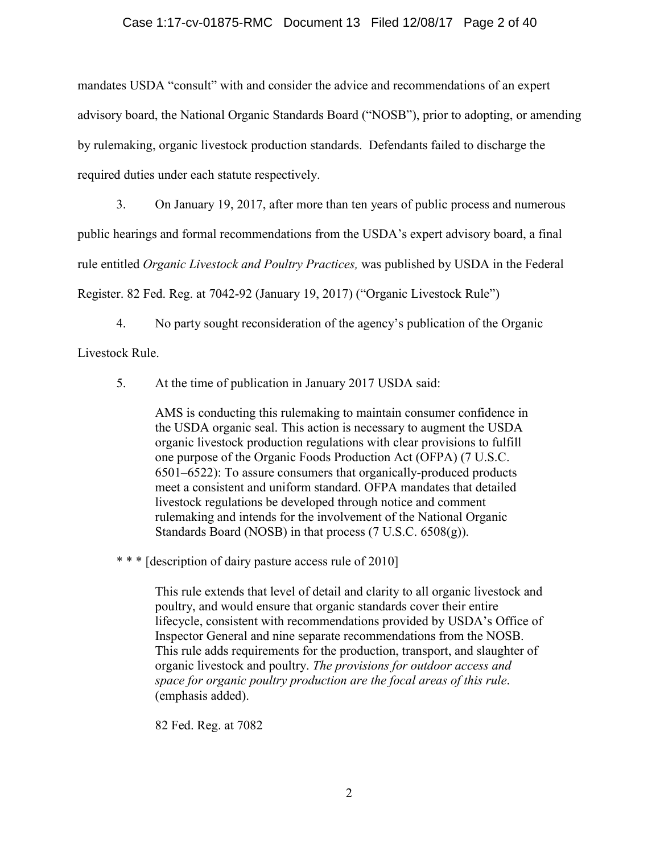### Case 1:17-cv-01875-RMC Document 13 Filed 12/08/17 Page 2 of 40

mandates USDA "consult" with and consider the advice and recommendations of an expert advisory board, the National Organic Standards Board ("NOSB"), prior to adopting, or amending by rulemaking, organic livestock production standards. Defendants failed to discharge the required duties under each statute respectively.

3. On January 19, 2017, after more than ten years of public process and numerous public hearings and formal recommendations from the USDA's expert advisory board, a final rule entitled *Organic Livestock and Poultry Practices,* was published by USDA in the Federal Register. 82 Fed. Reg. at 7042-92 (January 19, 2017) ("Organic Livestock Rule")

4. No party sought reconsideration of the agency's publication of the Organic Livestock Rule.

5. At the time of publication in January 2017 USDA said:

AMS is conducting this rulemaking to maintain consumer confidence in the USDA organic seal. This action is necessary to augment the USDA organic livestock production regulations with clear provisions to fulfill one purpose of the Organic Foods Production Act (OFPA) (7 U.S.C. 6501–6522): To assure consumers that organically-produced products meet a consistent and uniform standard. OFPA mandates that detailed livestock regulations be developed through notice and comment rulemaking and intends for the involvement of the National Organic Standards Board (NOSB) in that process (7 U.S.C. 6508(g)).

\* \* \* [description of dairy pasture access rule of 2010]

This rule extends that level of detail and clarity to all organic livestock and poultry, and would ensure that organic standards cover their entire lifecycle, consistent with recommendations provided by USDA's Office of Inspector General and nine separate recommendations from the NOSB. This rule adds requirements for the production, transport, and slaughter of organic livestock and poultry. *The provisions for outdoor access and space for organic poultry production are the focal areas of this rule*. (emphasis added).

82 Fed. Reg. at 7082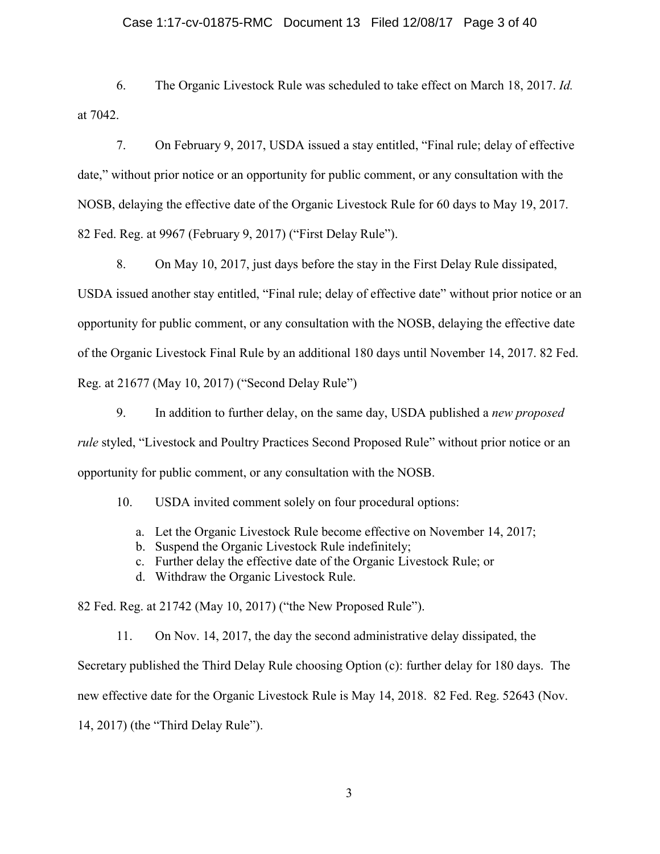#### Case 1:17-cv-01875-RMC Document 13 Filed 12/08/17 Page 3 of 40

6. The Organic Livestock Rule was scheduled to take effect on March 18, 2017. *Id.* at 7042.

7. On February 9, 2017, USDA issued a stay entitled, "Final rule; delay of effective date," without prior notice or an opportunity for public comment, or any consultation with the NOSB, delaying the effective date of the Organic Livestock Rule for 60 days to May 19, 2017. 82 Fed. Reg. at 9967 (February 9, 2017) ("First Delay Rule").

8. On May 10, 2017, just days before the stay in the First Delay Rule dissipated, USDA issued another stay entitled, "Final rule; delay of effective date" without prior notice or an opportunity for public comment, or any consultation with the NOSB, delaying the effective date of the Organic Livestock Final Rule by an additional 180 days until November 14, 2017. 82 Fed. Reg. at 21677 (May 10, 2017) ("Second Delay Rule")

9. In addition to further delay, on the same day, USDA published a *new proposed rule* styled, "Livestock and Poultry Practices Second Proposed Rule" without prior notice or an opportunity for public comment, or any consultation with the NOSB.

10. USDA invited comment solely on four procedural options:

- a. Let the Organic Livestock Rule become effective on November 14, 2017;
- b. Suspend the Organic Livestock Rule indefinitely;
- c. Further delay the effective date of the Organic Livestock Rule; or
- d. Withdraw the Organic Livestock Rule.

82 Fed. Reg. at 21742 (May 10, 2017) ("the New Proposed Rule").

11. On Nov. 14, 2017, the day the second administrative delay dissipated, the Secretary published the Third Delay Rule choosing Option (c): further delay for 180 days. The new effective date for the Organic Livestock Rule is May 14, 2018. 82 Fed. Reg. 52643 (Nov. 14, 2017) (the "Third Delay Rule").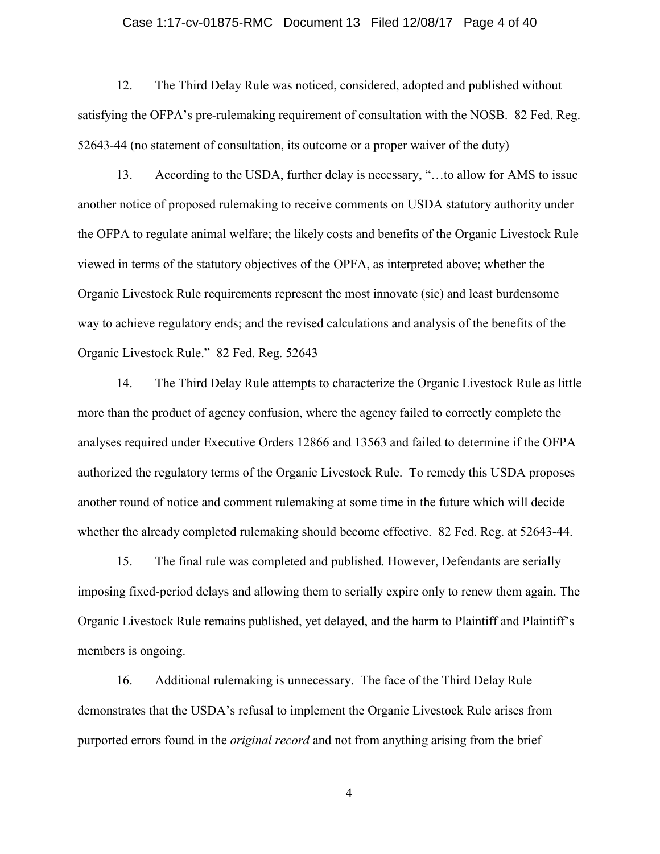#### Case 1:17-cv-01875-RMC Document 13 Filed 12/08/17 Page 4 of 40

12. The Third Delay Rule was noticed, considered, adopted and published without satisfying the OFPA's pre-rulemaking requirement of consultation with the NOSB. 82 Fed. Reg. 52643-44 (no statement of consultation, its outcome or a proper waiver of the duty)

13. According to the USDA, further delay is necessary, "…to allow for AMS to issue another notice of proposed rulemaking to receive comments on USDA statutory authority under the OFPA to regulate animal welfare; the likely costs and benefits of the Organic Livestock Rule viewed in terms of the statutory objectives of the OPFA, as interpreted above; whether the Organic Livestock Rule requirements represent the most innovate (sic) and least burdensome way to achieve regulatory ends; and the revised calculations and analysis of the benefits of the Organic Livestock Rule." 82 Fed. Reg. 52643

14. The Third Delay Rule attempts to characterize the Organic Livestock Rule as little more than the product of agency confusion, where the agency failed to correctly complete the analyses required under Executive Orders 12866 and 13563 and failed to determine if the OFPA authorized the regulatory terms of the Organic Livestock Rule. To remedy this USDA proposes another round of notice and comment rulemaking at some time in the future which will decide whether the already completed rulemaking should become effective. 82 Fed. Reg. at 52643-44.

15. The final rule was completed and published. However, Defendants are serially imposing fixed-period delays and allowing them to serially expire only to renew them again. The Organic Livestock Rule remains published, yet delayed, and the harm to Plaintiff and Plaintiff's members is ongoing.

16. Additional rulemaking is unnecessary. The face of the Third Delay Rule demonstrates that the USDA's refusal to implement the Organic Livestock Rule arises from purported errors found in the *original record* and not from anything arising from the brief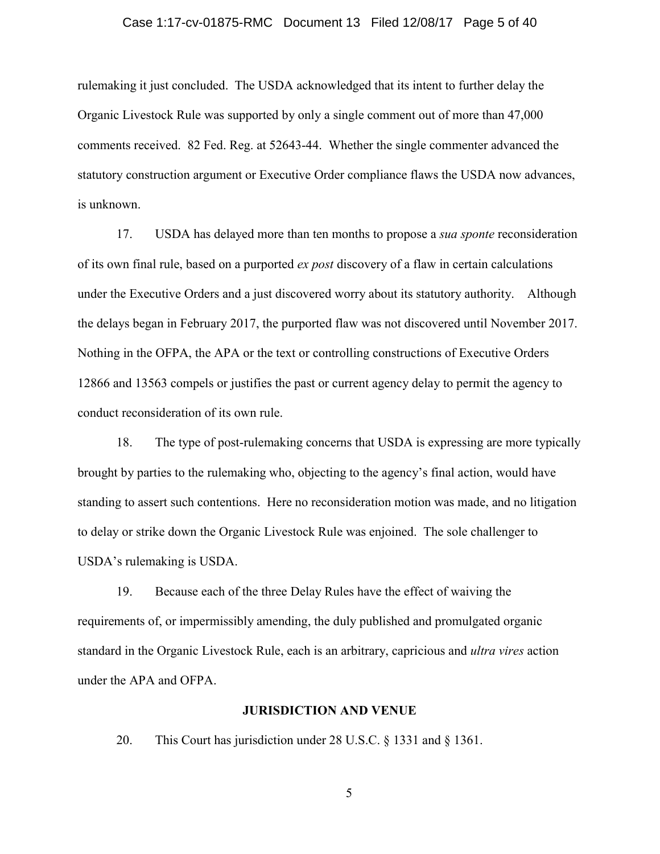#### Case 1:17-cv-01875-RMC Document 13 Filed 12/08/17 Page 5 of 40

rulemaking it just concluded. The USDA acknowledged that its intent to further delay the Organic Livestock Rule was supported by only a single comment out of more than 47,000 comments received. 82 Fed. Reg. at 52643-44. Whether the single commenter advanced the statutory construction argument or Executive Order compliance flaws the USDA now advances, is unknown.

17. USDA has delayed more than ten months to propose a *sua sponte* reconsideration of its own final rule, based on a purported *ex post* discovery of a flaw in certain calculations under the Executive Orders and a just discovered worry about its statutory authority. Although the delays began in February 2017, the purported flaw was not discovered until November 2017. Nothing in the OFPA, the APA or the text or controlling constructions of Executive Orders 12866 and 13563 compels or justifies the past or current agency delay to permit the agency to conduct reconsideration of its own rule.

18. The type of post-rulemaking concerns that USDA is expressing are more typically brought by parties to the rulemaking who, objecting to the agency's final action, would have standing to assert such contentions. Here no reconsideration motion was made, and no litigation to delay or strike down the Organic Livestock Rule was enjoined. The sole challenger to USDA's rulemaking is USDA.

19. Because each of the three Delay Rules have the effect of waiving the requirements of, or impermissibly amending, the duly published and promulgated organic standard in the Organic Livestock Rule, each is an arbitrary, capricious and *ultra vires* action under the APA and OFPA.

#### JURISDICTION AND VENUE

20. This Court has jurisdiction under 28 U.S.C. § 1331 and § 1361.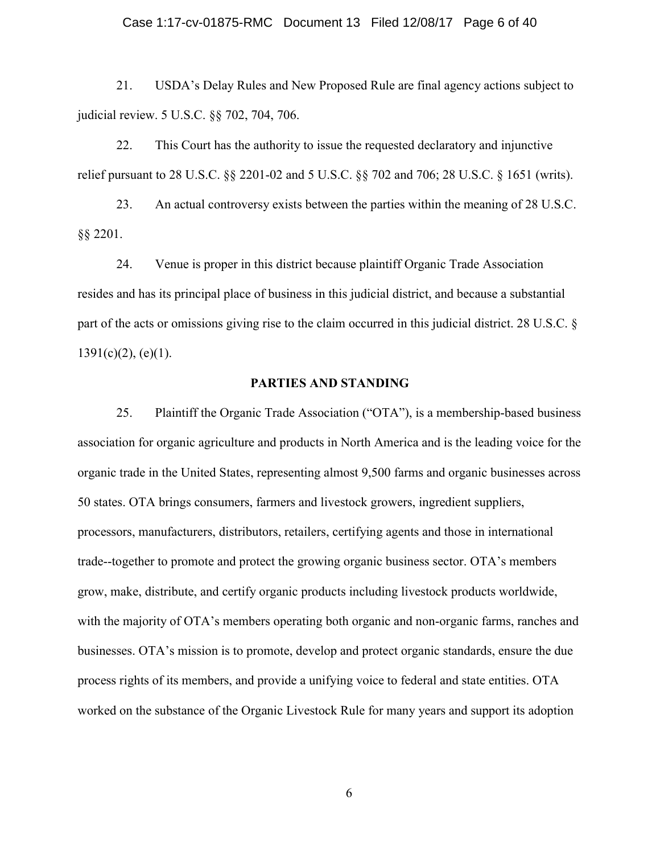#### Case 1:17-cv-01875-RMC Document 13 Filed 12/08/17 Page 6 of 40

21. USDA's Delay Rules and New Proposed Rule are final agency actions subject to judicial review. 5 U.S.C. §§ 702, 704, 706.

22. This Court has the authority to issue the requested declaratory and injunctive relief pursuant to 28 U.S.C. §§ 2201-02 and 5 U.S.C. §§ 702 and 706; 28 U.S.C. § 1651 (writs).

23. An actual controversy exists between the parties within the meaning of 28 U.S.C. §§ 2201.

24. Venue is proper in this district because plaintiff Organic Trade Association resides and has its principal place of business in this judicial district, and because a substantial part of the acts or omissions giving rise to the claim occurred in this judicial district. 28 U.S.C. §  $1391(c)(2)$ , (e)(1).

#### PARTIES AND STANDING

25. Plaintiff the Organic Trade Association ("OTA"), is a membership-based business association for organic agriculture and products in North America and is the leading voice for the organic trade in the United States, representing almost 9,500 farms and organic businesses across 50 states. OTA brings consumers, farmers and livestock growers, ingredient suppliers, processors, manufacturers, distributors, retailers, certifying agents and those in international trade--together to promote and protect the growing organic business sector. OTA's members grow, make, distribute, and certify organic products including livestock products worldwide, with the majority of OTA's members operating both organic and non-organic farms, ranches and businesses. OTA's mission is to promote, develop and protect organic standards, ensure the due process rights of its members, and provide a unifying voice to federal and state entities. OTA worked on the substance of the Organic Livestock Rule for many years and support its adoption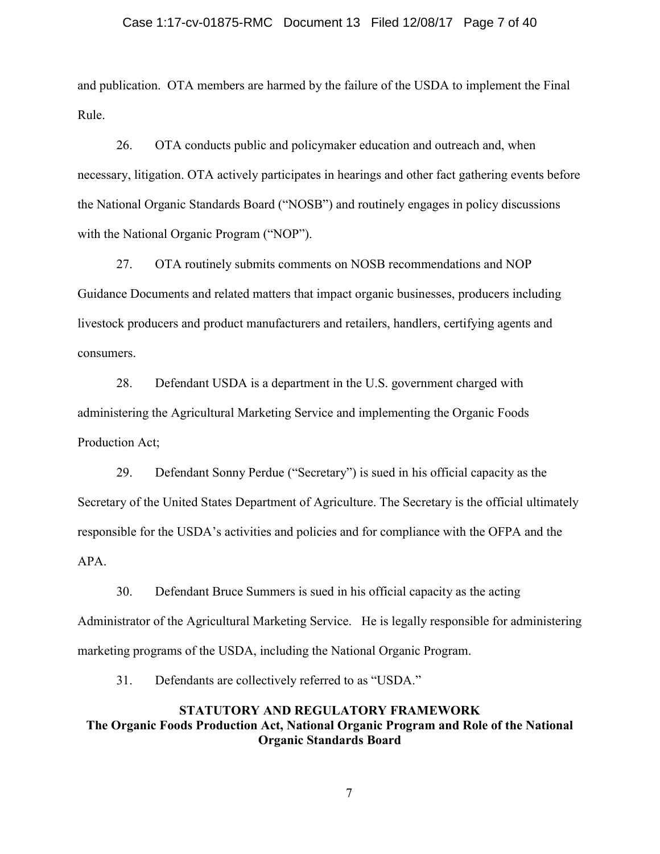#### Case 1:17-cv-01875-RMC Document 13 Filed 12/08/17 Page 7 of 40

and publication. OTA members are harmed by the failure of the USDA to implement the Final Rule.

26. OTA conducts public and policymaker education and outreach and, when necessary, litigation. OTA actively participates in hearings and other fact gathering events before the National Organic Standards Board ("NOSB") and routinely engages in policy discussions with the National Organic Program ("NOP").

27. OTA routinely submits comments on NOSB recommendations and NOP Guidance Documents and related matters that impact organic businesses, producers including livestock producers and product manufacturers and retailers, handlers, certifying agents and consumers.

28. Defendant USDA is a department in the U.S. government charged with administering the Agricultural Marketing Service and implementing the Organic Foods Production Act;

29. Defendant Sonny Perdue ("Secretary") is sued in his official capacity as the Secretary of the United States Department of Agriculture. The Secretary is the official ultimately responsible for the USDA's activities and policies and for compliance with the OFPA and the APA.

30. Defendant Bruce Summers is sued in his official capacity as the acting Administrator of the Agricultural Marketing Service. He is legally responsible for administering marketing programs of the USDA, including the National Organic Program.

31. Defendants are collectively referred to as "USDA."

# STATUTORY AND REGULATORY FRAMEWORK The Organic Foods Production Act, National Organic Program and Role of the National Organic Standards Board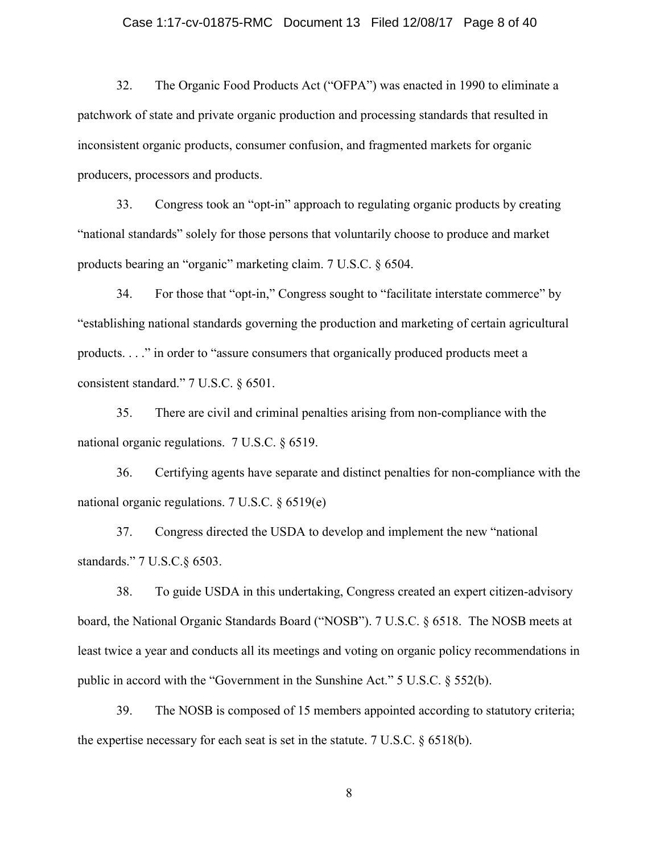#### Case 1:17-cv-01875-RMC Document 13 Filed 12/08/17 Page 8 of 40

32. The Organic Food Products Act ("OFPA") was enacted in 1990 to eliminate a patchwork of state and private organic production and processing standards that resulted in inconsistent organic products, consumer confusion, and fragmented markets for organic producers, processors and products.

33. Congress took an "opt-in" approach to regulating organic products by creating "national standards" solely for those persons that voluntarily choose to produce and market products bearing an "organic" marketing claim. 7 U.S.C. § 6504.

34. For those that "opt-in," Congress sought to "facilitate interstate commerce" by "establishing national standards governing the production and marketing of certain agricultural products. . . ." in order to "assure consumers that organically produced products meet a consistent standard." 7 U.S.C. § 6501.

35. There are civil and criminal penalties arising from non-compliance with the national organic regulations. 7 U.S.C. § 6519.

36. Certifying agents have separate and distinct penalties for non-compliance with the national organic regulations. 7 U.S.C. § 6519(e)

37. Congress directed the USDA to develop and implement the new "national standards." 7 U.S.C.§ 6503.

38. To guide USDA in this undertaking, Congress created an expert citizen-advisory board, the National Organic Standards Board ("NOSB"). 7 U.S.C. § 6518. The NOSB meets at least twice a year and conducts all its meetings and voting on organic policy recommendations in public in accord with the "Government in the Sunshine Act." 5 U.S.C. § 552(b).

39. The NOSB is composed of 15 members appointed according to statutory criteria; the expertise necessary for each seat is set in the statute. 7 U.S.C. § 6518(b).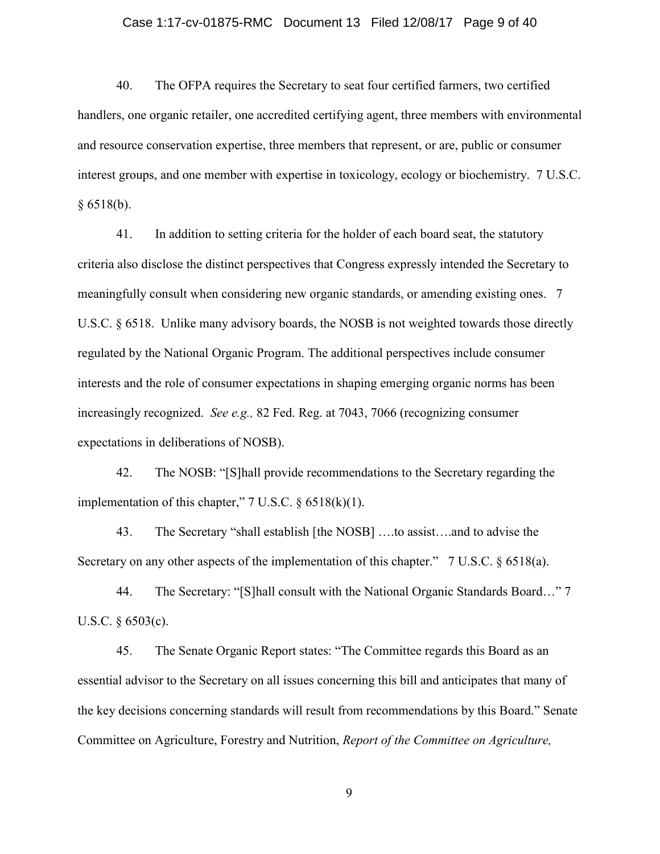#### Case 1:17-cv-01875-RMC Document 13 Filed 12/08/17 Page 9 of 40

40. The OFPA requires the Secretary to seat four certified farmers, two certified handlers, one organic retailer, one accredited certifying agent, three members with environmental and resource conservation expertise, three members that represent, or are, public or consumer interest groups, and one member with expertise in toxicology, ecology or biochemistry. 7 U.S.C.  $§ 6518(b).$ 

41. In addition to setting criteria for the holder of each board seat, the statutory criteria also disclose the distinct perspectives that Congress expressly intended the Secretary to meaningfully consult when considering new organic standards, or amending existing ones. 7 U.S.C. § 6518. Unlike many advisory boards, the NOSB is not weighted towards those directly regulated by the National Organic Program. The additional perspectives include consumer interests and the role of consumer expectations in shaping emerging organic norms has been increasingly recognized. *See e.g.,* 82 Fed. Reg. at 7043, 7066 (recognizing consumer expectations in deliberations of NOSB).

42. The NOSB: "[S]hall provide recommendations to the Secretary regarding the implementation of this chapter,"  $7 \text{ U.S.C. }$   $§ 6518(k)(1)$ .

43. The Secretary "shall establish [the NOSB] ….to assist….and to advise the Secretary on any other aspects of the implementation of this chapter." 7 U.S.C. § 6518(a).

44. The Secretary: "[S]hall consult with the National Organic Standards Board…" 7 U.S.C. § 6503(c).

45. The Senate Organic Report states: "The Committee regards this Board as an essential advisor to the Secretary on all issues concerning this bill and anticipates that many of the key decisions concerning standards will result from recommendations by this Board." Senate Committee on Agriculture, Forestry and Nutrition, *Report of the Committee on Agriculture,*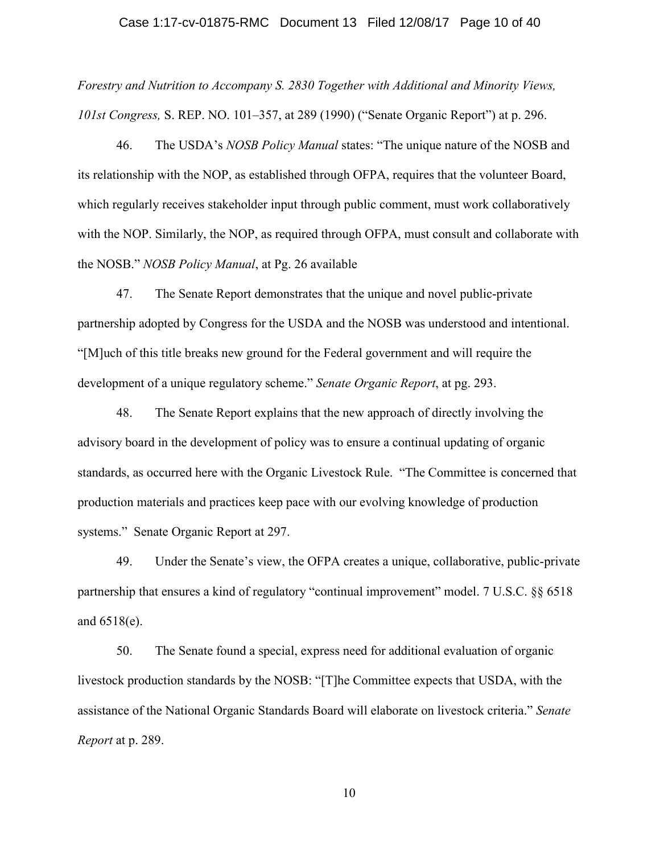#### Case 1:17-cv-01875-RMC Document 13 Filed 12/08/17 Page 10 of 40

*Forestry and Nutrition to Accompany S. 2830 Together with Additional and Minority Views, 101st Congress,* S. REP. NO. 101–357, at 289 (1990) ("Senate Organic Report") at p. 296.

46. The USDA's *NOSB Policy Manual* states: "The unique nature of the NOSB and its relationship with the NOP, as established through OFPA, requires that the volunteer Board, which regularly receives stakeholder input through public comment, must work collaboratively with the NOP. Similarly, the NOP, as required through OFPA, must consult and collaborate with the NOSB." *NOSB Policy Manual*, at Pg. 26 available

47. The Senate Report demonstrates that the unique and novel public-private partnership adopted by Congress for the USDA and the NOSB was understood and intentional. "[M]uch of this title breaks new ground for the Federal government and will require the development of a unique regulatory scheme." *Senate Organic Report*, at pg. 293.

48. The Senate Report explains that the new approach of directly involving the advisory board in the development of policy was to ensure a continual updating of organic standards, as occurred here with the Organic Livestock Rule. "The Committee is concerned that production materials and practices keep pace with our evolving knowledge of production systems." Senate Organic Report at 297.

49. Under the Senate's view, the OFPA creates a unique, collaborative, public-private partnership that ensures a kind of regulatory "continual improvement" model. 7 U.S.C. §§ 6518 and 6518(e).

50. The Senate found a special, express need for additional evaluation of organic livestock production standards by the NOSB: "[T]he Committee expects that USDA, with the assistance of the National Organic Standards Board will elaborate on livestock criteria." *Senate Report* at p. 289.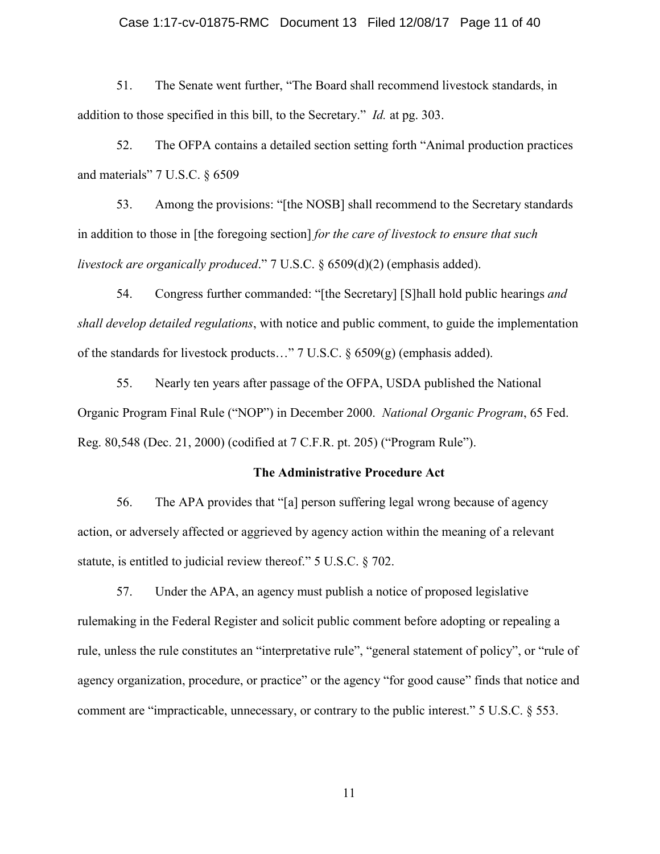#### Case 1:17-cv-01875-RMC Document 13 Filed 12/08/17 Page 11 of 40

51. The Senate went further, "The Board shall recommend livestock standards, in addition to those specified in this bill, to the Secretary." *Id.* at pg. 303.

52. The OFPA contains a detailed section setting forth "Animal production practices and materials" 7 U.S.C. § 6509

53. Among the provisions: "[the NOSB] shall recommend to the Secretary standards in addition to those in [the foregoing section] *for the care of livestock to ensure that such livestock are organically produced*." 7 U.S.C. § 6509(d)(2) (emphasis added).

54. Congress further commanded: "[the Secretary] [S]hall hold public hearings *and shall develop detailed regulations*, with notice and public comment, to guide the implementation of the standards for livestock products…" 7 U.S.C. § 6509(g) (emphasis added).

55. Nearly ten years after passage of the OFPA, USDA published the National Organic Program Final Rule ("NOP") in December 2000. *National Organic Program*, 65 Fed. Reg. 80,548 (Dec. 21, 2000) (codified at 7 C.F.R. pt. 205) ("Program Rule").

#### The Administrative Procedure Act

56. The APA provides that "[a] person suffering legal wrong because of agency action, or adversely affected or aggrieved by agency action within the meaning of a relevant statute, is entitled to judicial review thereof." 5 U.S.C. § 702.

57. Under the APA, an agency must publish a notice of proposed legislative rulemaking in the Federal Register and solicit public comment before adopting or repealing a rule, unless the rule constitutes an "interpretative rule", "general statement of policy", or "rule of agency organization, procedure, or practice" or the agency "for good cause" finds that notice and comment are "impracticable, unnecessary, or contrary to the public interest." 5 U.S.C. § 553.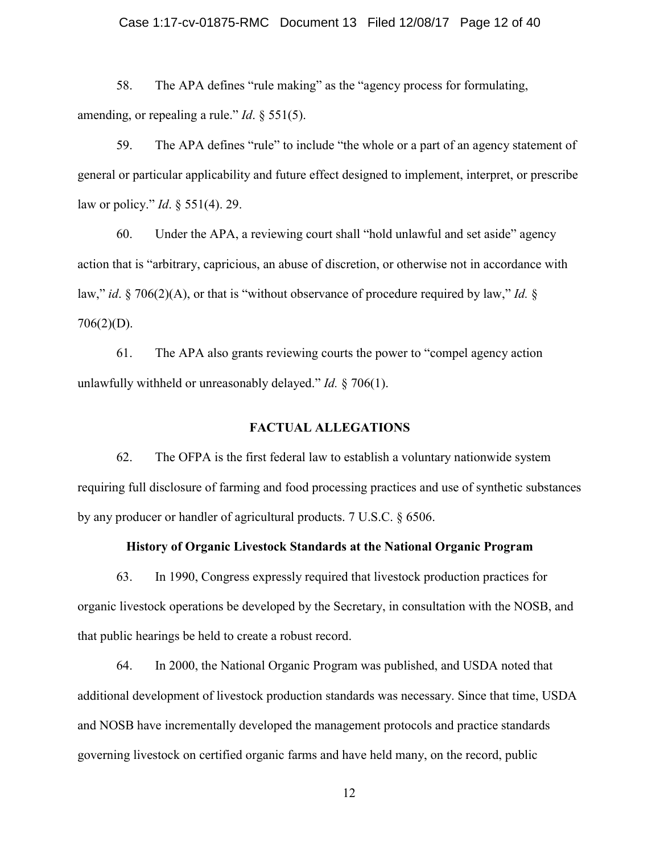#### Case 1:17-cv-01875-RMC Document 13 Filed 12/08/17 Page 12 of 40

58. The APA defines "rule making" as the "agency process for formulating, amending, or repealing a rule." *Id*. § 551(5).

59. The APA defines "rule" to include "the whole or a part of an agency statement of general or particular applicability and future effect designed to implement, interpret, or prescribe law or policy." *Id*. § 551(4). 29.

60. Under the APA, a reviewing court shall "hold unlawful and set aside" agency action that is "arbitrary, capricious, an abuse of discretion, or otherwise not in accordance with law," *id*. § 706(2)(A), or that is "without observance of procedure required by law," *Id.* § 706(2)(D).

61. The APA also grants reviewing courts the power to "compel agency action unlawfully withheld or unreasonably delayed." *Id.* § 706(1).

## FACTUAL ALLEGATIONS

62. The OFPA is the first federal law to establish a voluntary nationwide system requiring full disclosure of farming and food processing practices and use of synthetic substances by any producer or handler of agricultural products. 7 U.S.C. § 6506.

### History of Organic Livestock Standards at the National Organic Program

63. In 1990, Congress expressly required that livestock production practices for organic livestock operations be developed by the Secretary, in consultation with the NOSB, and that public hearings be held to create a robust record.

64. In 2000, the National Organic Program was published, and USDA noted that additional development of livestock production standards was necessary. Since that time, USDA and NOSB have incrementally developed the management protocols and practice standards governing livestock on certified organic farms and have held many, on the record, public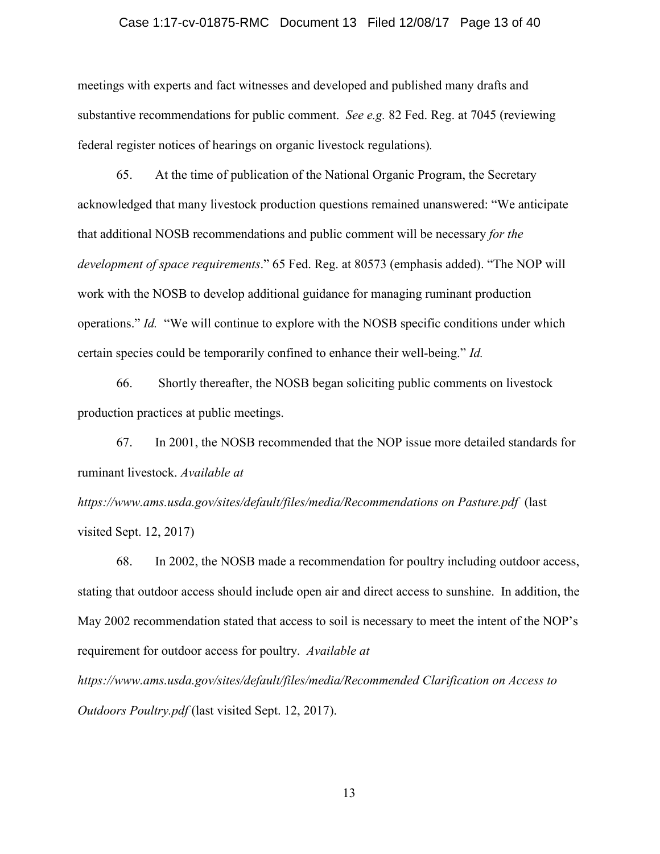#### Case 1:17-cv-01875-RMC Document 13 Filed 12/08/17 Page 13 of 40

meetings with experts and fact witnesses and developed and published many drafts and substantive recommendations for public comment. *See e.g.* 82 Fed. Reg. at 7045 (reviewing federal register notices of hearings on organic livestock regulations)*.*

65. At the time of publication of the National Organic Program, the Secretary acknowledged that many livestock production questions remained unanswered: "We anticipate that additional NOSB recommendations and public comment will be necessary *for the development of space requirements*." 65 Fed. Reg. at 80573 (emphasis added). "The NOP will work with the NOSB to develop additional guidance for managing ruminant production operations." *Id.* "We will continue to explore with the NOSB specific conditions under which certain species could be temporarily confined to enhance their well-being." *Id.*

66. Shortly thereafter, the NOSB began soliciting public comments on livestock production practices at public meetings.

67. In 2001, the NOSB recommended that the NOP issue more detailed standards for ruminant livestock. *Available at https://www.ams.usda.gov/sites/default/files/media/Recommendations on Pasture.pdf* (last

visited Sept. 12, 2017)

68. In 2002, the NOSB made a recommendation for poultry including outdoor access, stating that outdoor access should include open air and direct access to sunshine. In addition, the May 2002 recommendation stated that access to soil is necessary to meet the intent of the NOP's requirement for outdoor access for poultry. *Available at* 

*https://www.ams.usda.gov/sites/default/files/media/Recommended Clarification on Access to Outdoors Poultry.pdf* (last visited Sept. 12, 2017).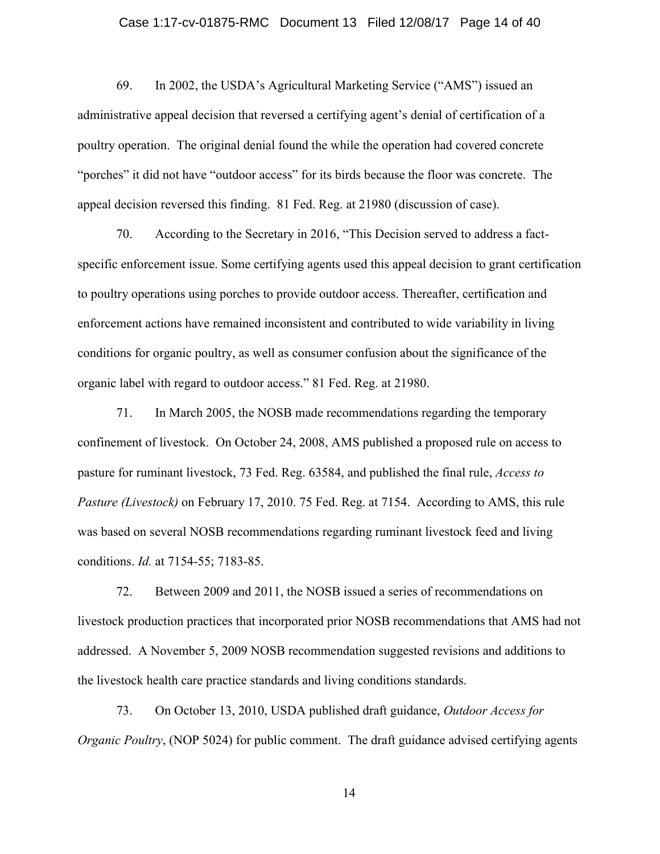#### Case 1:17-cv-01875-RMC Document 13 Filed 12/08/17 Page 14 of 40

69. In 2002, the USDA's Agricultural Marketing Service ("AMS") issued an administrative appeal decision that reversed a certifying agent's denial of certification of a poultry operation. The original denial found the while the operation had covered concrete "porches" it did not have "outdoor access" for its birds because the floor was concrete. The appeal decision reversed this finding. 81 Fed. Reg. at 21980 (discussion of case).

70. According to the Secretary in 2016, "This Decision served to address a factspecific enforcement issue. Some certifying agents used this appeal decision to grant certification to poultry operations using porches to provide outdoor access. Thereafter, certification and enforcement actions have remained inconsistent and contributed to wide variability in living conditions for organic poultry, as well as consumer confusion about the significance of the organic label with regard to outdoor access." 81 Fed. Reg. at 21980.

71. In March 2005, the NOSB made recommendations regarding the temporary confinement of livestock. On October 24, 2008, AMS published a proposed rule on access to pasture for ruminant livestock, 73 Fed. Reg. 63584, and published the final rule, *Access to Pasture (Livestock)* on February 17, 2010. 75 Fed. Reg. at 7154. According to AMS, this rule was based on several NOSB recommendations regarding ruminant livestock feed and living conditions. *Id.* at 7154-55; 7183-85.

72. Between 2009 and 2011, the NOSB issued a series of recommendations on livestock production practices that incorporated prior NOSB recommendations that AMS had not addressed. A November 5, 2009 NOSB recommendation suggested revisions and additions to the livestock health care practice standards and living conditions standards.

73. On October 13, 2010, USDA published draft guidance, *Outdoor Access for Organic Poultry*, (NOP 5024) for public comment. The draft guidance advised certifying agents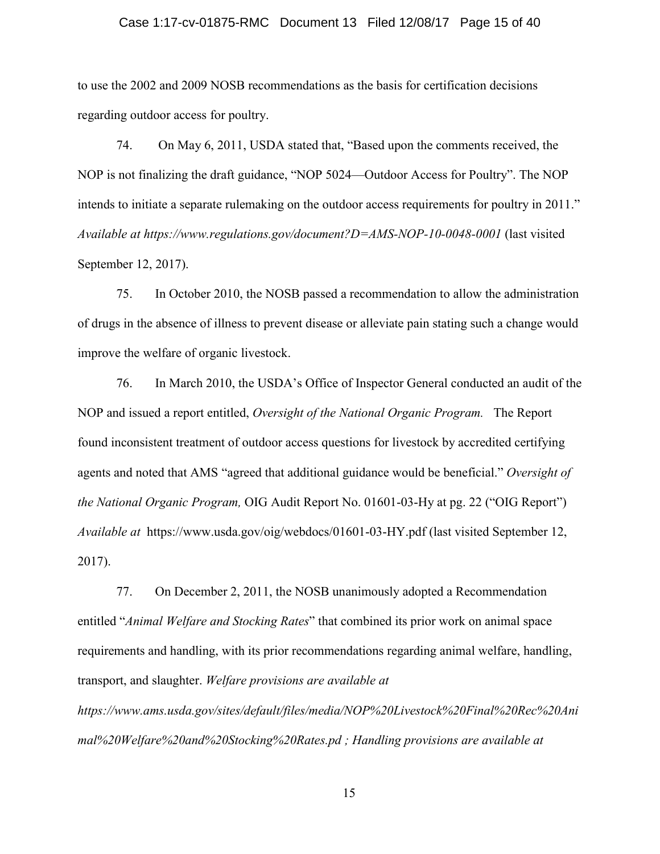#### Case 1:17-cv-01875-RMC Document 13 Filed 12/08/17 Page 15 of 40

to use the 2002 and 2009 NOSB recommendations as the basis for certification decisions regarding outdoor access for poultry.

74. On May 6, 2011, USDA stated that, "Based upon the comments received, the NOP is not finalizing the draft guidance, "NOP 5024—Outdoor Access for Poultry". The NOP intends to initiate a separate rulemaking on the outdoor access requirements for poultry in 2011." *Available at https://www.regulations.gov/document?D=AMS-NOP-10-0048-0001* (last visited September 12, 2017).

75. In October 2010, the NOSB passed a recommendation to allow the administration of drugs in the absence of illness to prevent disease or alleviate pain stating such a change would improve the welfare of organic livestock.

76. In March 2010, the USDA's Office of Inspector General conducted an audit of the NOP and issued a report entitled, *Oversight of the National Organic Program.* The Report found inconsistent treatment of outdoor access questions for livestock by accredited certifying agents and noted that AMS "agreed that additional guidance would be beneficial." *Oversight of the National Organic Program,* OIG Audit Report No. 01601-03-Hy at pg. 22 ("OIG Report") *Available at* https://www.usda.gov/oig/webdocs/01601-03-HY.pdf (last visited September 12, 2017).

77. On December 2, 2011, the NOSB unanimously adopted a Recommendation entitled "*Animal Welfare and Stocking Rates*" that combined its prior work on animal space requirements and handling, with its prior recommendations regarding animal welfare, handling, transport, and slaughter. *Welfare provisions are available at*

*https://www.ams.usda.gov/sites/default/files/media/NOP%20Livestock%20Final%20Rec%20Ani mal%20Welfare%20and%20Stocking%20Rates.pd ; Handling provisions are available at*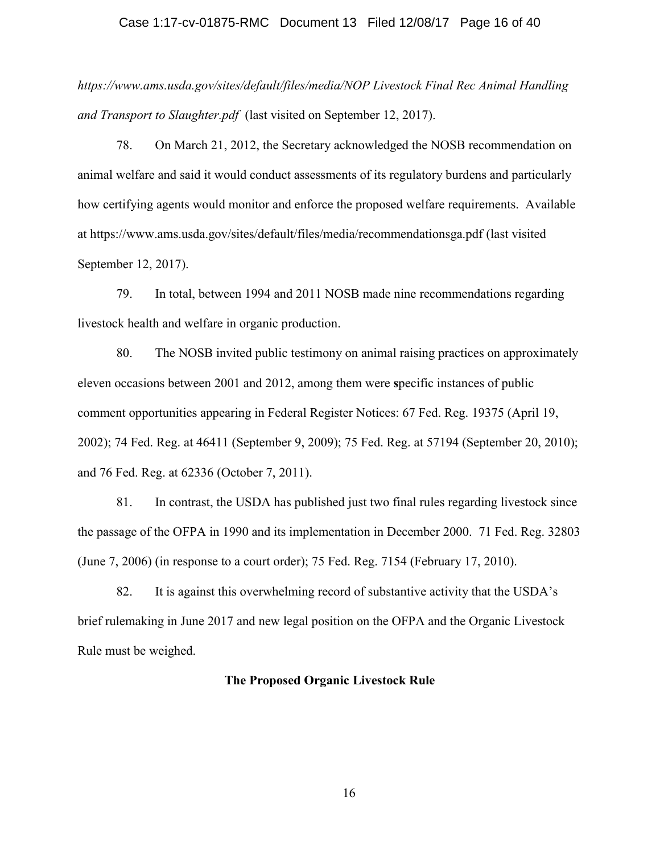#### Case 1:17-cv-01875-RMC Document 13 Filed 12/08/17 Page 16 of 40

*https://www.ams.usda.gov/sites/default/files/media/NOP Livestock Final Rec Animal Handling and Transport to Slaughter.pdf* (last visited on September 12, 2017).

78. On March 21, 2012, the Secretary acknowledged the NOSB recommendation on animal welfare and said it would conduct assessments of its regulatory burdens and particularly how certifying agents would monitor and enforce the proposed welfare requirements. Available at https://www.ams.usda.gov/sites/default/files/media/recommendationsga.pdf (last visited September 12, 2017).

79. In total, between 1994 and 2011 NOSB made nine recommendations regarding livestock health and welfare in organic production.

80. The NOSB invited public testimony on animal raising practices on approximately eleven occasions between 2001 and 2012, among them were specific instances of public comment opportunities appearing in Federal Register Notices: 67 Fed. Reg. 19375 (April 19, 2002); 74 Fed. Reg. at 46411 (September 9, 2009); 75 Fed. Reg. at 57194 (September 20, 2010); and 76 Fed. Reg. at 62336 (October 7, 2011).

81. In contrast, the USDA has published just two final rules regarding livestock since the passage of the OFPA in 1990 and its implementation in December 2000. 71 Fed. Reg. 32803 (June 7, 2006) (in response to a court order); 75 Fed. Reg. 7154 (February 17, 2010).

82. It is against this overwhelming record of substantive activity that the USDA's brief rulemaking in June 2017 and new legal position on the OFPA and the Organic Livestock Rule must be weighed.

#### The Proposed Organic Livestock Rule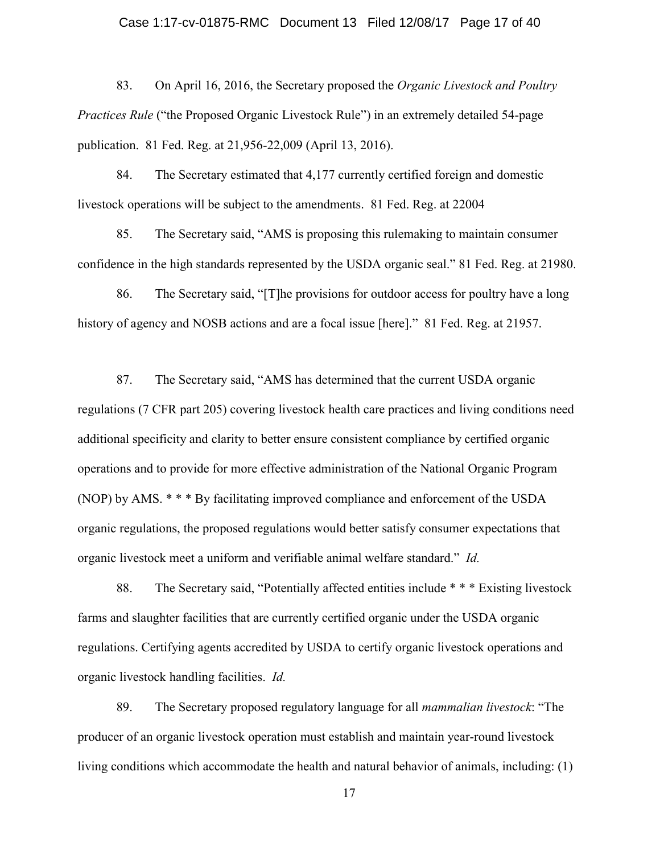83. On April 16, 2016, the Secretary proposed the *Organic Livestock and Poultry Practices Rule* ("the Proposed Organic Livestock Rule") in an extremely detailed 54-page publication. 81 Fed. Reg. at 21,956-22,009 (April 13, 2016).

84. The Secretary estimated that 4,177 currently certified foreign and domestic livestock operations will be subject to the amendments. 81 Fed. Reg. at 22004

85. The Secretary said, "AMS is proposing this rulemaking to maintain consumer confidence in the high standards represented by the USDA organic seal." 81 Fed. Reg. at 21980.

86. The Secretary said, "[T]he provisions for outdoor access for poultry have a long history of agency and NOSB actions and are a focal issue [here]." 81 Fed. Reg. at 21957.

87. The Secretary said, "AMS has determined that the current USDA organic regulations (7 CFR part 205) covering livestock health care practices and living conditions need additional specificity and clarity to better ensure consistent compliance by certified organic operations and to provide for more effective administration of the National Organic Program (NOP) by AMS. \* \* \* By facilitating improved compliance and enforcement of the USDA organic regulations, the proposed regulations would better satisfy consumer expectations that organic livestock meet a uniform and verifiable animal welfare standard." *Id.* 

88. The Secretary said, "Potentially affected entities include \* \* \* Existing livestock farms and slaughter facilities that are currently certified organic under the USDA organic regulations. Certifying agents accredited by USDA to certify organic livestock operations and organic livestock handling facilities. *Id.* 

89. The Secretary proposed regulatory language for all *mammalian livestock*: "The producer of an organic livestock operation must establish and maintain year-round livestock living conditions which accommodate the health and natural behavior of animals, including: (1)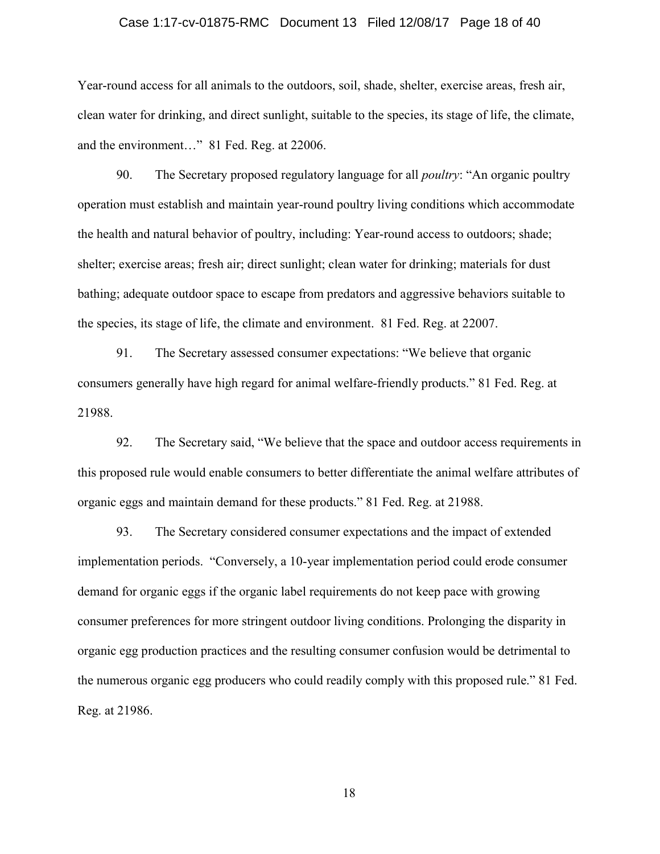#### Case 1:17-cv-01875-RMC Document 13 Filed 12/08/17 Page 18 of 40

Year-round access for all animals to the outdoors, soil, shade, shelter, exercise areas, fresh air, clean water for drinking, and direct sunlight, suitable to the species, its stage of life, the climate, and the environment…" 81 Fed. Reg. at 22006.

90. The Secretary proposed regulatory language for all *poultry*: "An organic poultry operation must establish and maintain year-round poultry living conditions which accommodate the health and natural behavior of poultry, including: Year-round access to outdoors; shade; shelter; exercise areas; fresh air; direct sunlight; clean water for drinking; materials for dust bathing; adequate outdoor space to escape from predators and aggressive behaviors suitable to the species, its stage of life, the climate and environment. 81 Fed. Reg. at 22007.

91. The Secretary assessed consumer expectations: "We believe that organic consumers generally have high regard for animal welfare-friendly products." 81 Fed. Reg. at 21988.

92. The Secretary said, "We believe that the space and outdoor access requirements in this proposed rule would enable consumers to better differentiate the animal welfare attributes of organic eggs and maintain demand for these products." 81 Fed. Reg. at 21988.

93. The Secretary considered consumer expectations and the impact of extended implementation periods. "Conversely, a 10-year implementation period could erode consumer demand for organic eggs if the organic label requirements do not keep pace with growing consumer preferences for more stringent outdoor living conditions. Prolonging the disparity in organic egg production practices and the resulting consumer confusion would be detrimental to the numerous organic egg producers who could readily comply with this proposed rule." 81 Fed. Reg. at 21986.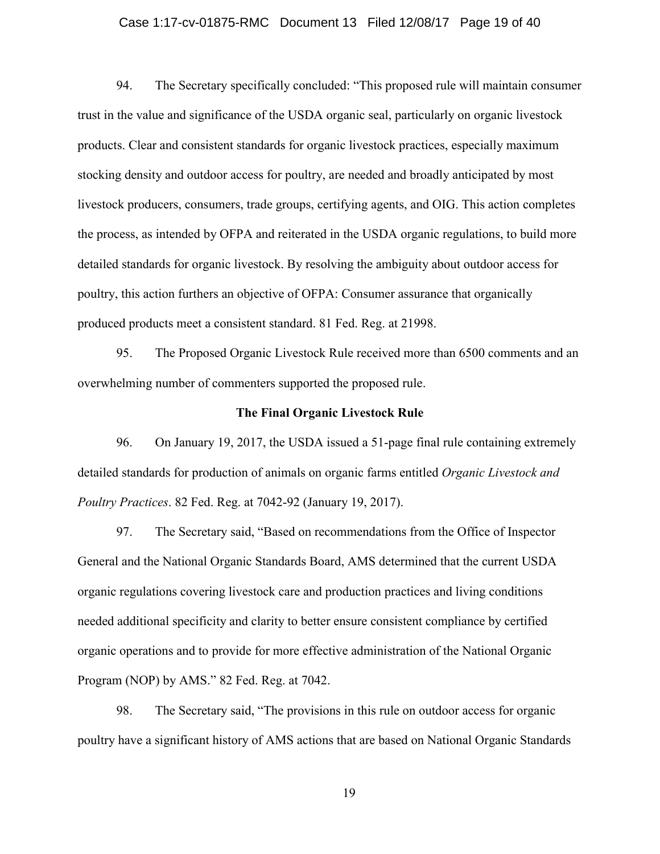#### Case 1:17-cv-01875-RMC Document 13 Filed 12/08/17 Page 19 of 40

94. The Secretary specifically concluded: "This proposed rule will maintain consumer trust in the value and significance of the USDA organic seal, particularly on organic livestock products. Clear and consistent standards for organic livestock practices, especially maximum stocking density and outdoor access for poultry, are needed and broadly anticipated by most livestock producers, consumers, trade groups, certifying agents, and OIG. This action completes the process, as intended by OFPA and reiterated in the USDA organic regulations, to build more detailed standards for organic livestock. By resolving the ambiguity about outdoor access for poultry, this action furthers an objective of OFPA: Consumer assurance that organically produced products meet a consistent standard. 81 Fed. Reg. at 21998.

95. The Proposed Organic Livestock Rule received more than 6500 comments and an overwhelming number of commenters supported the proposed rule.

#### The Final Organic Livestock Rule

96. On January 19, 2017, the USDA issued a 51-page final rule containing extremely detailed standards for production of animals on organic farms entitled *Organic Livestock and Poultry Practices*. 82 Fed. Reg. at 7042-92 (January 19, 2017).

97. The Secretary said, "Based on recommendations from the Office of Inspector General and the National Organic Standards Board, AMS determined that the current USDA organic regulations covering livestock care and production practices and living conditions needed additional specificity and clarity to better ensure consistent compliance by certified organic operations and to provide for more effective administration of the National Organic Program (NOP) by AMS." 82 Fed. Reg. at 7042.

98. The Secretary said, "The provisions in this rule on outdoor access for organic poultry have a significant history of AMS actions that are based on National Organic Standards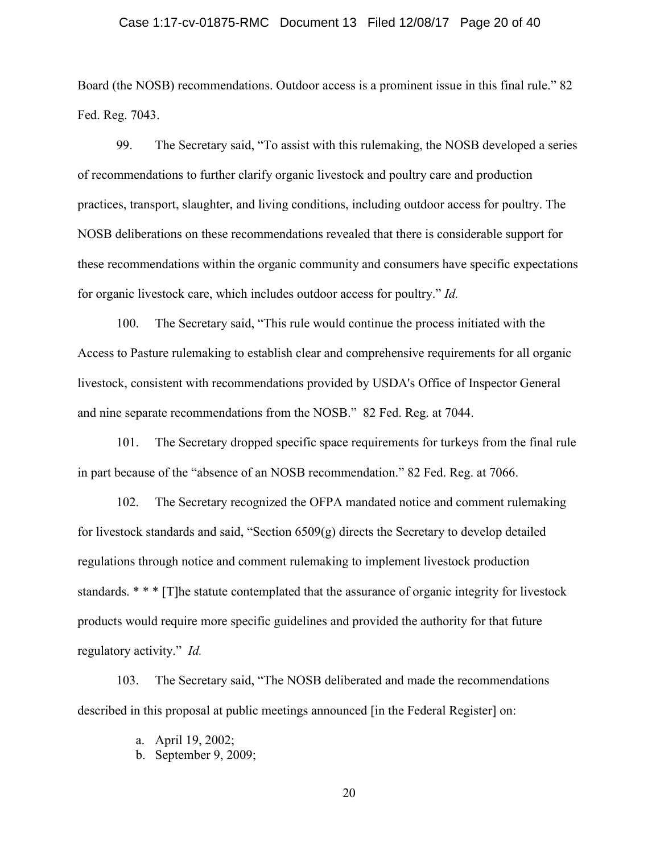#### Case 1:17-cv-01875-RMC Document 13 Filed 12/08/17 Page 20 of 40

Board (the NOSB) recommendations. Outdoor access is a prominent issue in this final rule." 82 Fed. Reg. 7043.

99. The Secretary said, "To assist with this rulemaking, the NOSB developed a series of recommendations to further clarify organic livestock and poultry care and production practices, transport, slaughter, and living conditions, including outdoor access for poultry. The NOSB deliberations on these recommendations revealed that there is considerable support for these recommendations within the organic community and consumers have specific expectations for organic livestock care, which includes outdoor access for poultry." *Id.*

100. The Secretary said, "This rule would continue the process initiated with the Access to Pasture rulemaking to establish clear and comprehensive requirements for all organic livestock, consistent with recommendations provided by USDA's Office of Inspector General and nine separate recommendations from the NOSB." 82 Fed. Reg. at 7044.

101. The Secretary dropped specific space requirements for turkeys from the final rule in part because of the "absence of an NOSB recommendation." 82 Fed. Reg. at 7066.

102. The Secretary recognized the OFPA mandated notice and comment rulemaking for livestock standards and said, "Section 6509(g) directs the Secretary to develop detailed regulations through notice and comment rulemaking to implement livestock production standards. \* \* \* [T]he statute contemplated that the assurance of organic integrity for livestock products would require more specific guidelines and provided the authority for that future regulatory activity." *Id.* 

103. The Secretary said, "The NOSB deliberated and made the recommendations described in this proposal at public meetings announced [in the Federal Register] on:

- a. April 19, 2002;
- b. September 9, 2009;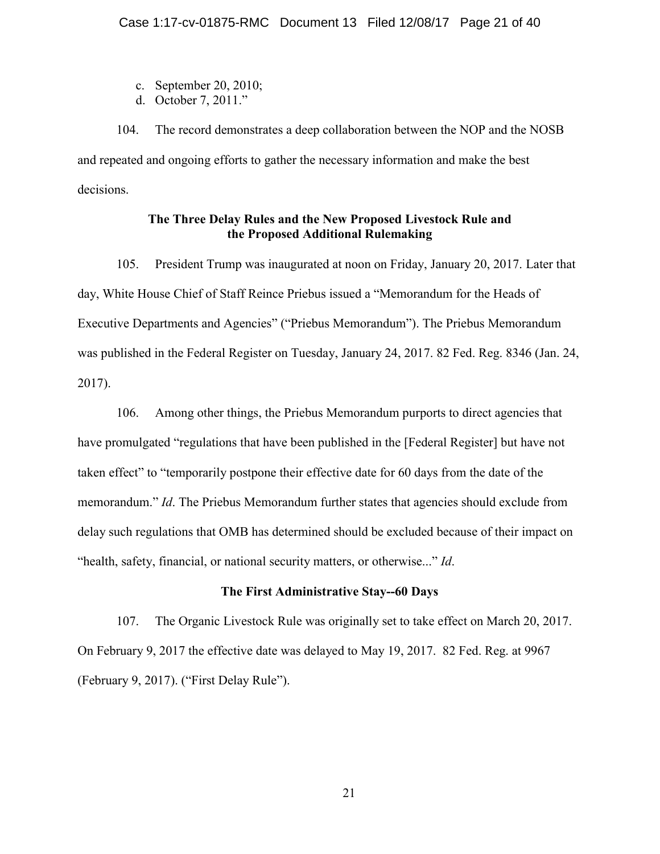- c. September 20, 2010;
- d. October 7, 2011."

104. The record demonstrates a deep collaboration between the NOP and the NOSB and repeated and ongoing efforts to gather the necessary information and make the best decisions.

# The Three Delay Rules and the New Proposed Livestock Rule and the Proposed Additional Rulemaking

105. President Trump was inaugurated at noon on Friday, January 20, 2017. Later that day, White House Chief of Staff Reince Priebus issued a "Memorandum for the Heads of Executive Departments and Agencies" ("Priebus Memorandum"). The Priebus Memorandum was published in the Federal Register on Tuesday, January 24, 2017. 82 Fed. Reg. 8346 (Jan. 24, 2017).

106. Among other things, the Priebus Memorandum purports to direct agencies that have promulgated "regulations that have been published in the [Federal Register] but have not taken effect" to "temporarily postpone their effective date for 60 days from the date of the memorandum." *Id*. The Priebus Memorandum further states that agencies should exclude from delay such regulations that OMB has determined should be excluded because of their impact on "health, safety, financial, or national security matters, or otherwise..." *Id*.

## The First Administrative Stay--60 Days

107. The Organic Livestock Rule was originally set to take effect on March 20, 2017. On February 9, 2017 the effective date was delayed to May 19, 2017. 82 Fed. Reg. at 9967 (February 9, 2017). ("First Delay Rule").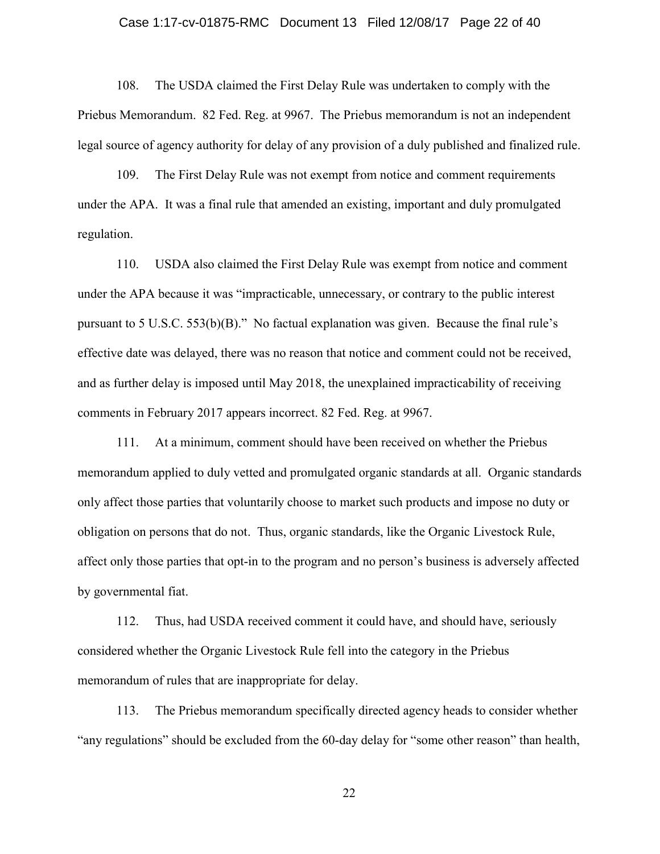#### Case 1:17-cv-01875-RMC Document 13 Filed 12/08/17 Page 22 of 40

108. The USDA claimed the First Delay Rule was undertaken to comply with the Priebus Memorandum.82 Fed. Reg. at 9967. The Priebus memorandum is not an independent legal source of agency authority for delay of any provision of a duly published and finalized rule.

109. The First Delay Rule was not exempt from notice and comment requirements under the APA. It was a final rule that amended an existing, important and duly promulgated regulation.

110. USDA also claimed the First Delay Rule was exempt from notice and comment under the APA because it was "impracticable, unnecessary, or contrary to the public interest pursuant to 5 U.S.C. 553(b)(B)." No factual explanation was given. Because the final rule's effective date was delayed, there was no reason that notice and comment could not be received, and as further delay is imposed until May 2018, the unexplained impracticability of receiving comments in February 2017 appears incorrect. 82 Fed. Reg. at 9967.

111. At a minimum, comment should have been received on whether the Priebus memorandum applied to duly vetted and promulgated organic standards at all. Organic standards only affect those parties that voluntarily choose to market such products and impose no duty or obligation on persons that do not. Thus, organic standards, like the Organic Livestock Rule, affect only those parties that opt-in to the program and no person's business is adversely affected by governmental fiat.

112. Thus, had USDA received comment it could have, and should have, seriously considered whether the Organic Livestock Rule fell into the category in the Priebus memorandum of rules that are inappropriate for delay.

113. The Priebus memorandum specifically directed agency heads to consider whether "any regulations" should be excluded from the 60-day delay for "some other reason" than health,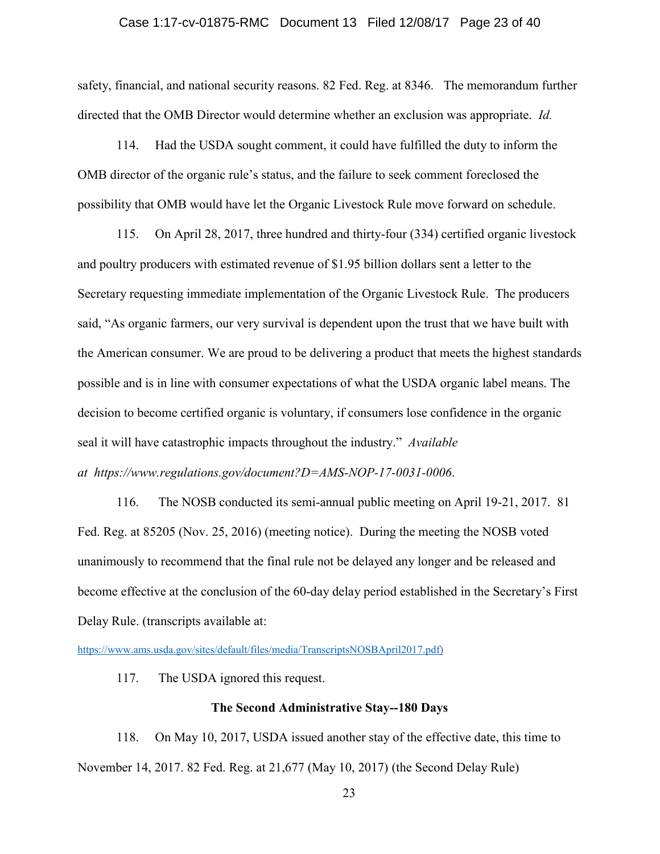#### Case 1:17-cv-01875-RMC Document 13 Filed 12/08/17 Page 23 of 40

safety, financial, and national security reasons. 82 Fed. Reg. at 8346. The memorandum further directed that the OMB Director would determine whether an exclusion was appropriate. *Id.*

114. Had the USDA sought comment, it could have fulfilled the duty to inform the OMB director of the organic rule's status, and the failure to seek comment foreclosed the possibility that OMB would have let the Organic Livestock Rule move forward on schedule.

115. On April 28, 2017, three hundred and thirty-four (334) certified organic livestock and poultry producers with estimated revenue of \$1.95 billion dollars sent a letter to the Secretary requesting immediate implementation of the Organic Livestock Rule. The producers said, "As organic farmers, our very survival is dependent upon the trust that we have built with the American consumer. We are proud to be delivering a product that meets the highest standards possible and is in line with consumer expectations of what the USDA organic label means. The decision to become certified organic is voluntary, if consumers lose confidence in the organic seal it will have catastrophic impacts throughout the industry." *Available at https://www.regulations.gov/document?D=AMS-NOP-17-0031-0006*.

116. The NOSB conducted its semi-annual public meeting on April 19-21, 2017. 81 Fed. Reg. at 85205 (Nov. 25, 2016) (meeting notice). During the meeting the NOSB voted unanimously to recommend that the final rule not be delayed any longer and be released and become effective at the conclusion of the 60-day delay period established in the Secretary's First Delay Rule. (transcripts available at:

https://www.ams.usda.gov/sites/default/files/media/TranscriptsNOSBApril2017.pdf)

117. The USDA ignored this request.

### The Second Administrative Stay--180 Days

118. On May 10, 2017, USDA issued another stay of the effective date, this time to November 14, 2017. 82 Fed. Reg. at 21,677 (May 10, 2017) (the Second Delay Rule)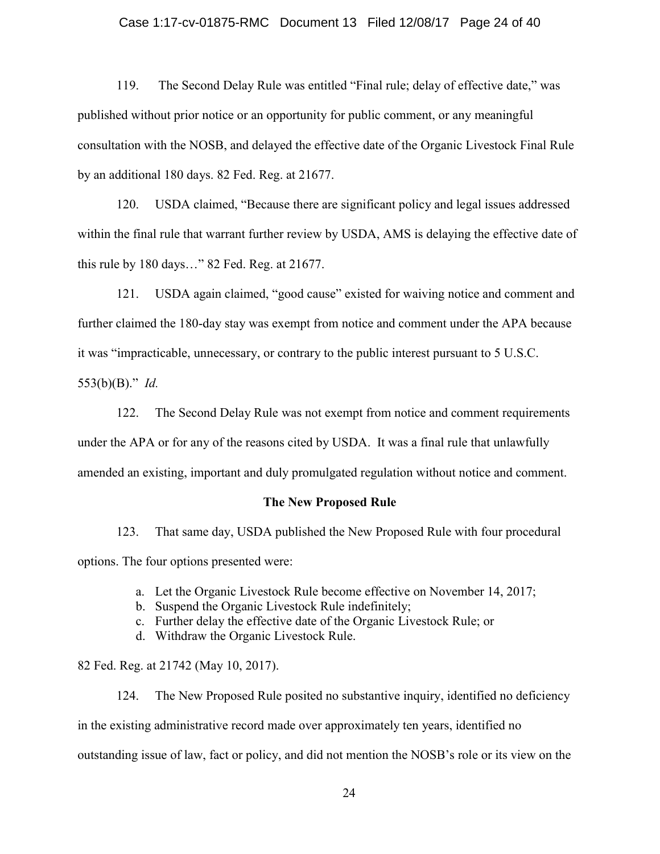#### Case 1:17-cv-01875-RMC Document 13 Filed 12/08/17 Page 24 of 40

119. The Second Delay Rule was entitled "Final rule; delay of effective date," was published without prior notice or an opportunity for public comment, or any meaningful consultation with the NOSB, and delayed the effective date of the Organic Livestock Final Rule by an additional 180 days. 82 Fed. Reg. at 21677.

120. USDA claimed, "Because there are significant policy and legal issues addressed within the final rule that warrant further review by USDA, AMS is delaying the effective date of this rule by 180 days…" 82 Fed. Reg. at 21677.

121. USDA again claimed, "good cause" existed for waiving notice and comment and further claimed the 180-day stay was exempt from notice and comment under the APA because it was "impracticable, unnecessary, or contrary to the public interest pursuant to 5 U.S.C.

553(b)(B)." *Id.*

122. The Second Delay Rule was not exempt from notice and comment requirements under the APA or for any of the reasons cited by USDA. It was a final rule that unlawfully amended an existing, important and duly promulgated regulation without notice and comment.

#### The New Proposed Rule

123. That same day, USDA published the New Proposed Rule with four procedural options. The four options presented were:

- a. Let the Organic Livestock Rule become effective on November 14, 2017;
- b. Suspend the Organic Livestock Rule indefinitely;
- c. Further delay the effective date of the Organic Livestock Rule; or
- d. Withdraw the Organic Livestock Rule.

#### 82 Fed. Reg. at 21742 (May 10, 2017).

124. The New Proposed Rule posited no substantive inquiry, identified no deficiency in the existing administrative record made over approximately ten years, identified no outstanding issue of law, fact or policy, and did not mention the NOSB's role or its view on the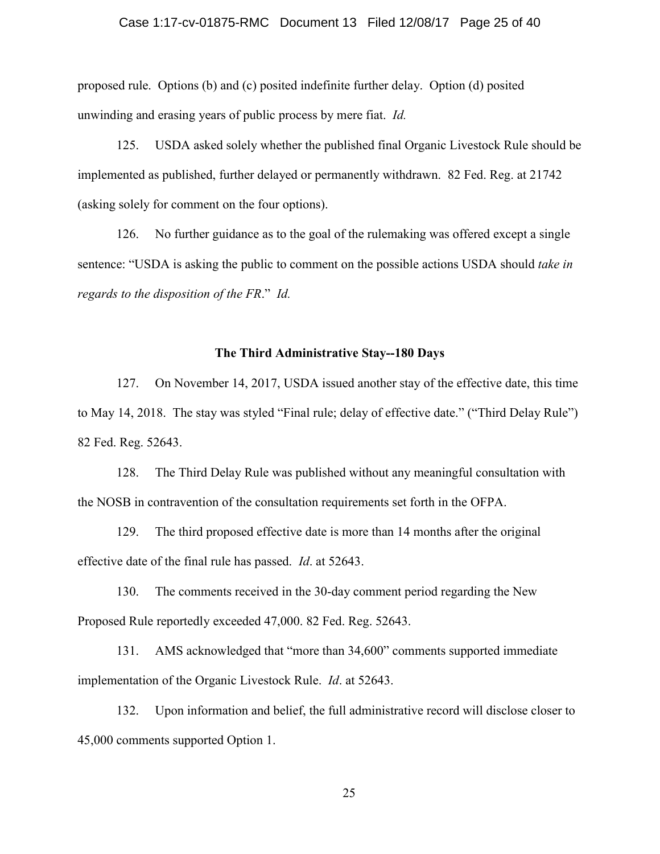#### Case 1:17-cv-01875-RMC Document 13 Filed 12/08/17 Page 25 of 40

proposed rule. Options (b) and (c) posited indefinite further delay. Option (d) posited unwinding and erasing years of public process by mere fiat. *Id.* 

125. USDA asked solely whether the published final Organic Livestock Rule should be implemented as published, further delayed or permanently withdrawn. 82 Fed. Reg. at 21742 (asking solely for comment on the four options).

126. No further guidance as to the goal of the rulemaking was offered except a single sentence: "USDA is asking the public to comment on the possible actions USDA should *take in regards to the disposition of the FR*." *Id.*

#### The Third Administrative Stay--180 Days

127. On November 14, 2017, USDA issued another stay of the effective date, this time to May 14, 2018. The stay was styled "Final rule; delay of effective date." ("Third Delay Rule") 82 Fed. Reg. 52643.

128. The Third Delay Rule was published without any meaningful consultation with the NOSB in contravention of the consultation requirements set forth in the OFPA.

129. The third proposed effective date is more than 14 months after the original effective date of the final rule has passed. *Id*. at 52643.

130. The comments received in the 30-day comment period regarding the New Proposed Rule reportedly exceeded 47,000. 82 Fed. Reg. 52643.

131. AMS acknowledged that "more than 34,600" comments supported immediate implementation of the Organic Livestock Rule. *Id*. at 52643.

132. Upon information and belief, the full administrative record will disclose closer to 45,000 comments supported Option 1.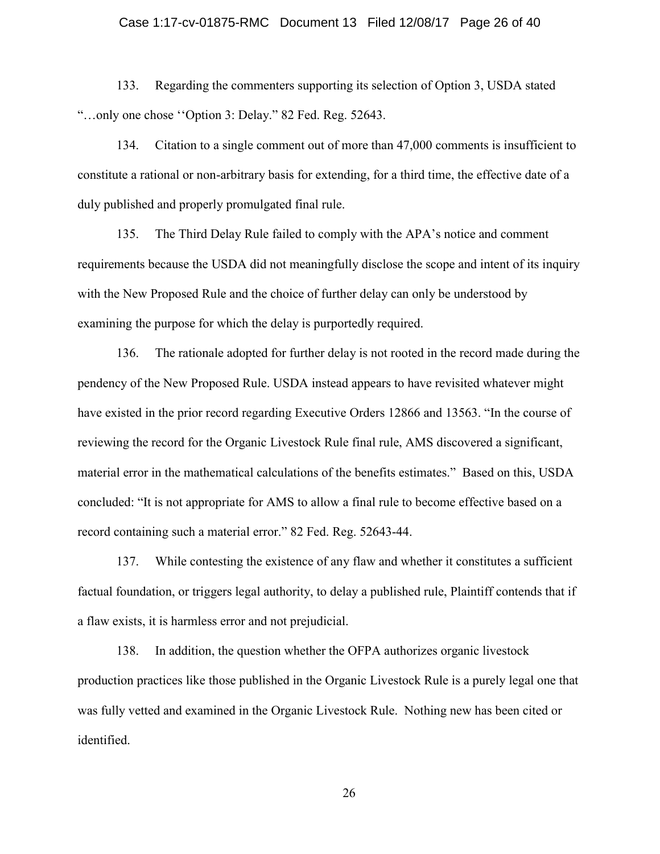#### Case 1:17-cv-01875-RMC Document 13 Filed 12/08/17 Page 26 of 40

133. Regarding the commenters supporting its selection of Option 3, USDA stated "…only one chose ''Option 3: Delay." 82 Fed. Reg. 52643.

134. Citation to a single comment out of more than 47,000 comments is insufficient to constitute a rational or non-arbitrary basis for extending, for a third time, the effective date of a duly published and properly promulgated final rule.

135. The Third Delay Rule failed to comply with the APA's notice and comment requirements because the USDA did not meaningfully disclose the scope and intent of its inquiry with the New Proposed Rule and the choice of further delay can only be understood by examining the purpose for which the delay is purportedly required.

136. The rationale adopted for further delay is not rooted in the record made during the pendency of the New Proposed Rule. USDA instead appears to have revisited whatever might have existed in the prior record regarding Executive Orders 12866 and 13563. "In the course of reviewing the record for the Organic Livestock Rule final rule, AMS discovered a significant, material error in the mathematical calculations of the benefits estimates." Based on this, USDA concluded: "It is not appropriate for AMS to allow a final rule to become effective based on a record containing such a material error." 82 Fed. Reg. 52643-44.

137. While contesting the existence of any flaw and whether it constitutes a sufficient factual foundation, or triggers legal authority, to delay a published rule, Plaintiff contends that if a flaw exists, it is harmless error and not prejudicial.

138. In addition, the question whether the OFPA authorizes organic livestock production practices like those published in the Organic Livestock Rule is a purely legal one that was fully vetted and examined in the Organic Livestock Rule. Nothing new has been cited or identified.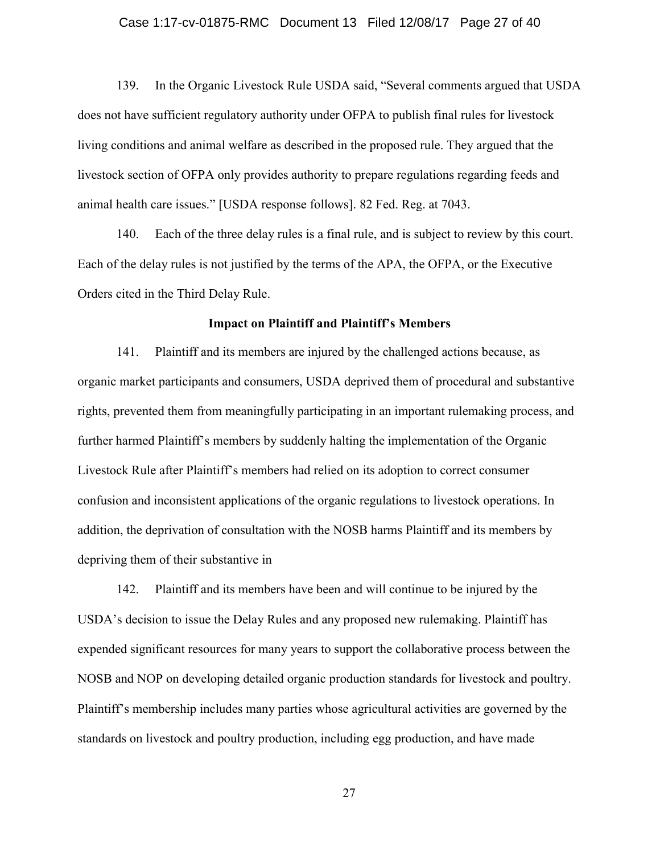#### Case 1:17-cv-01875-RMC Document 13 Filed 12/08/17 Page 27 of 40

139. In the Organic Livestock Rule USDA said, "Several comments argued that USDA does not have sufficient regulatory authority under OFPA to publish final rules for livestock living conditions and animal welfare as described in the proposed rule. They argued that the livestock section of OFPA only provides authority to prepare regulations regarding feeds and animal health care issues." [USDA response follows]. 82 Fed. Reg. at 7043.

140. Each of the three delay rules is a final rule, and is subject to review by this court. Each of the delay rules is not justified by the terms of the APA, the OFPA, or the Executive Orders cited in the Third Delay Rule.

#### Impact on Plaintiff and Plaintiff's Members

141. Plaintiff and its members are injured by the challenged actions because, as organic market participants and consumers, USDA deprived them of procedural and substantive rights, prevented them from meaningfully participating in an important rulemaking process, and further harmed Plaintiff's members by suddenly halting the implementation of the Organic Livestock Rule after Plaintiff's members had relied on its adoption to correct consumer confusion and inconsistent applications of the organic regulations to livestock operations. In addition, the deprivation of consultation with the NOSB harms Plaintiff and its members by depriving them of their substantive in

142. Plaintiff and its members have been and will continue to be injured by the USDA's decision to issue the Delay Rules and any proposed new rulemaking. Plaintiff has expended significant resources for many years to support the collaborative process between the NOSB and NOP on developing detailed organic production standards for livestock and poultry. Plaintiff's membership includes many parties whose agricultural activities are governed by the standards on livestock and poultry production, including egg production, and have made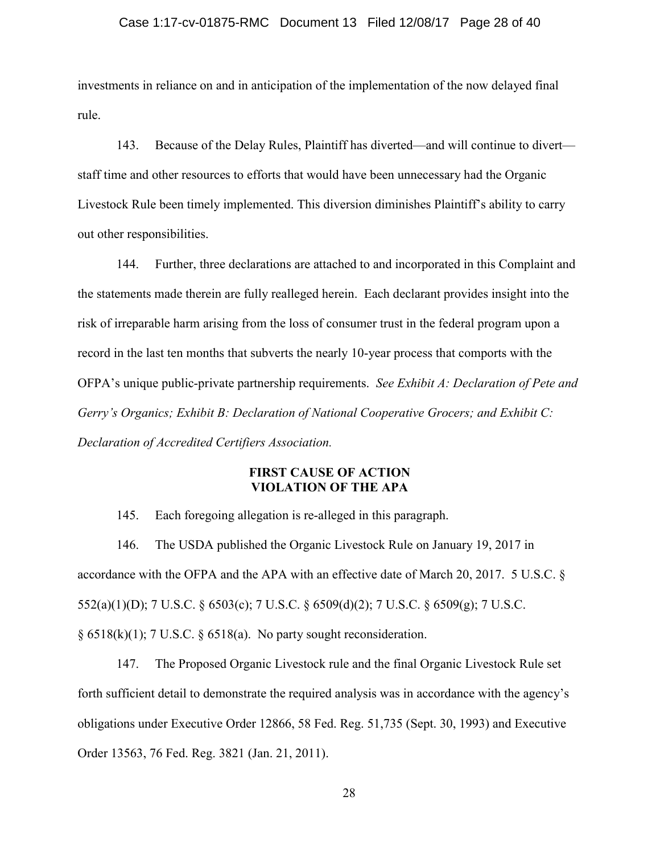#### Case 1:17-cv-01875-RMC Document 13 Filed 12/08/17 Page 28 of 40

investments in reliance on and in anticipation of the implementation of the now delayed final rule.

143. Because of the Delay Rules, Plaintiff has diverted—and will continue to divert staff time and other resources to efforts that would have been unnecessary had the Organic Livestock Rule been timely implemented. This diversion diminishes Plaintiff's ability to carry out other responsibilities.

144. Further, three declarations are attached to and incorporated in this Complaint and the statements made therein are fully realleged herein. Each declarant provides insight into the risk of irreparable harm arising from the loss of consumer trust in the federal program upon a record in the last ten months that subverts the nearly 10-year process that comports with the OFPA's unique public-private partnership requirements. *See Exhibit A: Declaration of Pete and Gerry's Organics; Exhibit B: Declaration of National Cooperative Grocers; and Exhibit C: Declaration of Accredited Certifiers Association.*

### FIRST CAUSE OF ACTION VIOLATION OF THE APA

145. Each foregoing allegation is re-alleged in this paragraph.

146. The USDA published the Organic Livestock Rule on January 19, 2017 in accordance with the OFPA and the APA with an effective date of March 20, 2017. 5 U.S.C. § 552(a)(1)(D); 7 U.S.C. § 6503(c); 7 U.S.C. § 6509(d)(2); 7 U.S.C. § 6509(g); 7 U.S.C.  $§ 6518(k)(1); 7 U.S.C. § 6518(a).$  No party sought reconsideration.

147. The Proposed Organic Livestock rule and the final Organic Livestock Rule set forth sufficient detail to demonstrate the required analysis was in accordance with the agency's obligations under Executive Order 12866, 58 Fed. Reg. 51,735 (Sept. 30, 1993) and Executive Order 13563, 76 Fed. Reg. 3821 (Jan. 21, 2011).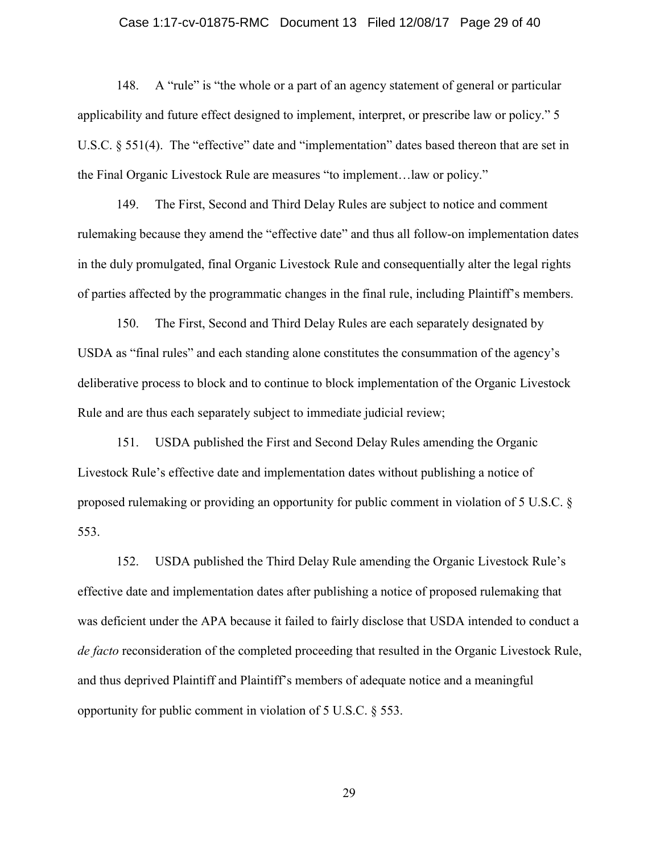#### Case 1:17-cv-01875-RMC Document 13 Filed 12/08/17 Page 29 of 40

148. A "rule" is "the whole or a part of an agency statement of general or particular applicability and future effect designed to implement, interpret, or prescribe law or policy." 5 U.S.C. § 551(4). The "effective" date and "implementation" dates based thereon that are set in the Final Organic Livestock Rule are measures "to implement…law or policy."

149. The First, Second and Third Delay Rules are subject to notice and comment rulemaking because they amend the "effective date" and thus all follow-on implementation dates in the duly promulgated, final Organic Livestock Rule and consequentially alter the legal rights of parties affected by the programmatic changes in the final rule, including Plaintiff's members.

150. The First, Second and Third Delay Rules are each separately designated by USDA as "final rules" and each standing alone constitutes the consummation of the agency's deliberative process to block and to continue to block implementation of the Organic Livestock Rule and are thus each separately subject to immediate judicial review;

151. USDA published the First and Second Delay Rules amending the Organic Livestock Rule's effective date and implementation dates without publishing a notice of proposed rulemaking or providing an opportunity for public comment in violation of 5 U.S.C. § 553.

152. USDA published the Third Delay Rule amending the Organic Livestock Rule's effective date and implementation dates after publishing a notice of proposed rulemaking that was deficient under the APA because it failed to fairly disclose that USDA intended to conduct a *de facto* reconsideration of the completed proceeding that resulted in the Organic Livestock Rule, and thus deprived Plaintiff and Plaintiff's members of adequate notice and a meaningful opportunity for public comment in violation of 5 U.S.C. § 553.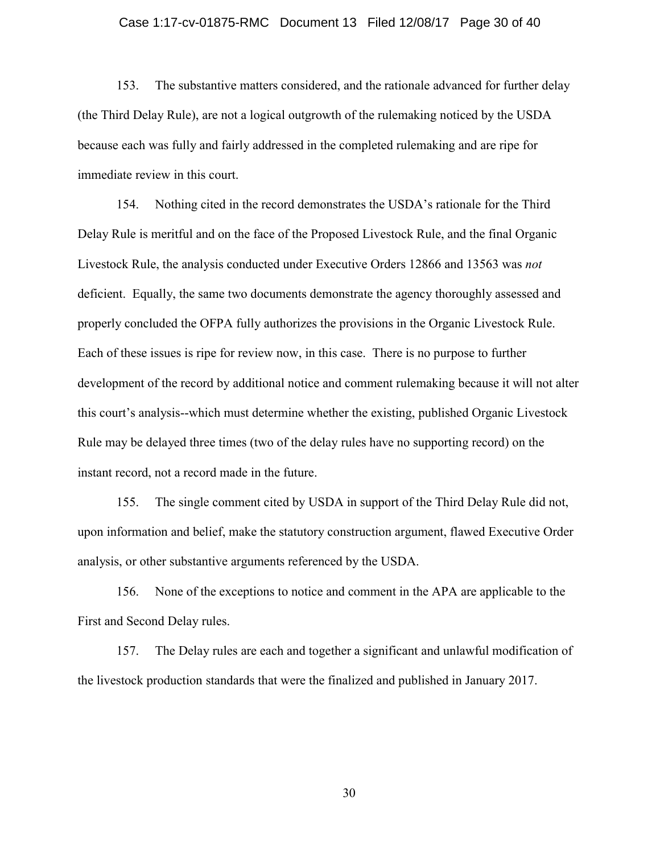#### Case 1:17-cv-01875-RMC Document 13 Filed 12/08/17 Page 30 of 40

153. The substantive matters considered, and the rationale advanced for further delay (the Third Delay Rule), are not a logical outgrowth of the rulemaking noticed by the USDA because each was fully and fairly addressed in the completed rulemaking and are ripe for immediate review in this court.

154. Nothing cited in the record demonstrates the USDA's rationale for the Third Delay Rule is meritful and on the face of the Proposed Livestock Rule, and the final Organic Livestock Rule, the analysis conducted under Executive Orders 12866 and 13563 was *not*  deficient. Equally, the same two documents demonstrate the agency thoroughly assessed and properly concluded the OFPA fully authorizes the provisions in the Organic Livestock Rule. Each of these issues is ripe for review now, in this case. There is no purpose to further development of the record by additional notice and comment rulemaking because it will not alter this court's analysis--which must determine whether the existing, published Organic Livestock Rule may be delayed three times (two of the delay rules have no supporting record) on the instant record, not a record made in the future.

155. The single comment cited by USDA in support of the Third Delay Rule did not, upon information and belief, make the statutory construction argument, flawed Executive Order analysis, or other substantive arguments referenced by the USDA.

156. None of the exceptions to notice and comment in the APA are applicable to the First and Second Delay rules.

157. The Delay rules are each and together a significant and unlawful modification of the livestock production standards that were the finalized and published in January 2017.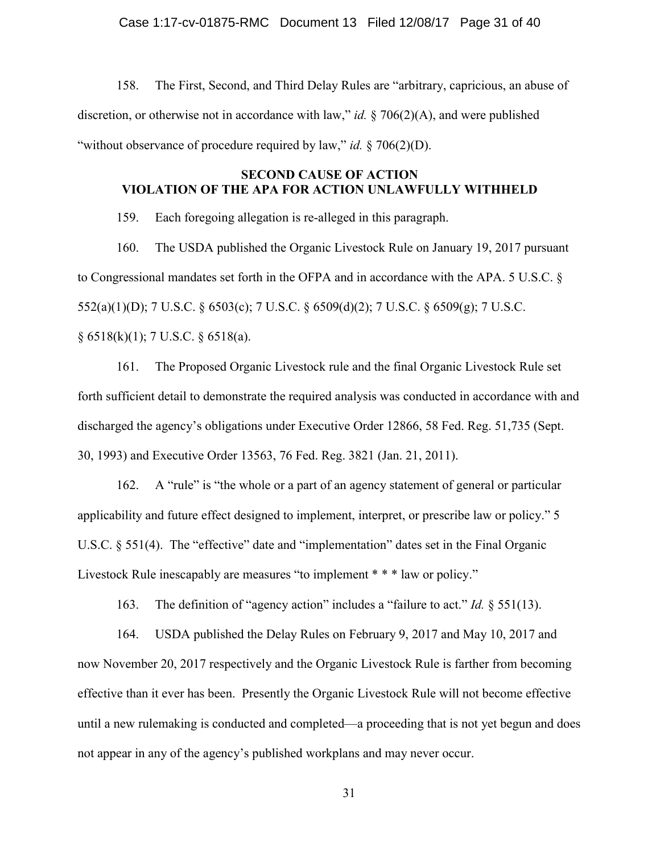#### Case 1:17-cv-01875-RMC Document 13 Filed 12/08/17 Page 31 of 40

158. The First, Second, and Third Delay Rules are "arbitrary, capricious, an abuse of discretion, or otherwise not in accordance with law," *id.* § 706(2)(A), and were published "without observance of procedure required by law," *id.* § 706(2)(D).

## SECOND CAUSE OF ACTION VIOLATION OF THE APA FOR ACTION UNLAWFULLY WITHHELD

159. Each foregoing allegation is re-alleged in this paragraph.

160. The USDA published the Organic Livestock Rule on January 19, 2017 pursuant to Congressional mandates set forth in the OFPA and in accordance with the APA. 5 U.S.C. § 552(a)(1)(D); 7 U.S.C. § 6503(c); 7 U.S.C. § 6509(d)(2); 7 U.S.C. § 6509(g); 7 U.S.C.  $\S 6518(k)(1)$ ; 7 U.S.C.  $\S 6518(a)$ .

161. The Proposed Organic Livestock rule and the final Organic Livestock Rule set forth sufficient detail to demonstrate the required analysis was conducted in accordance with and discharged the agency's obligations under Executive Order 12866, 58 Fed. Reg. 51,735 (Sept. 30, 1993) and Executive Order 13563, 76 Fed. Reg. 3821 (Jan. 21, 2011).

162. A "rule" is "the whole or a part of an agency statement of general or particular applicability and future effect designed to implement, interpret, or prescribe law or policy." 5 U.S.C. § 551(4). The "effective" date and "implementation" dates set in the Final Organic Livestock Rule inescapably are measures "to implement \* \* \* law or policy."

163. The definition of "agency action" includes a "failure to act." *Id.* § 551(13).

164. USDA published the Delay Rules on February 9, 2017 and May 10, 2017 and now November 20, 2017 respectively and the Organic Livestock Rule is farther from becoming effective than it ever has been. Presently the Organic Livestock Rule will not become effective until a new rulemaking is conducted and completed—a proceeding that is not yet begun and does not appear in any of the agency's published workplans and may never occur.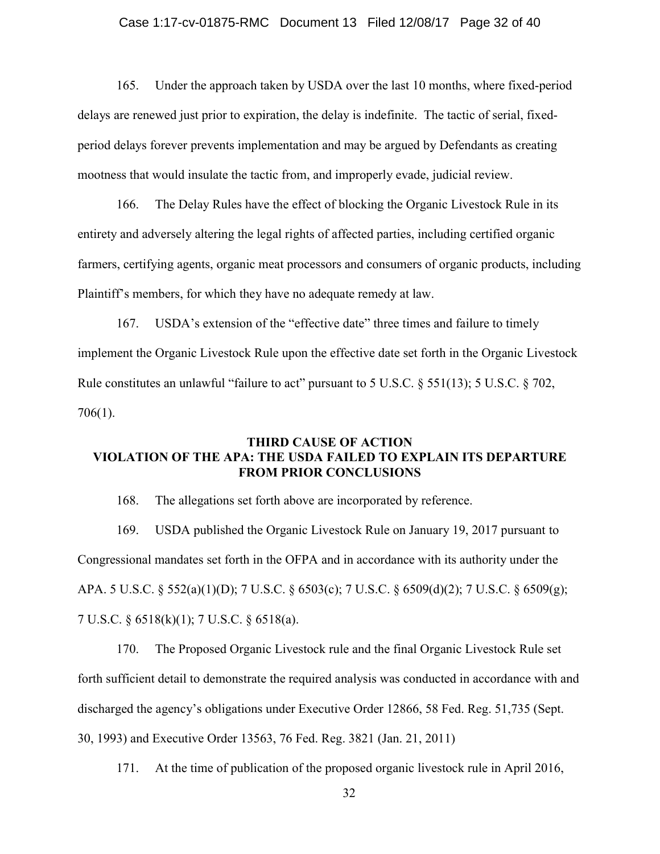#### Case 1:17-cv-01875-RMC Document 13 Filed 12/08/17 Page 32 of 40

165. Under the approach taken by USDA over the last 10 months, where fixed-period delays are renewed just prior to expiration, the delay is indefinite. The tactic of serial, fixedperiod delays forever prevents implementation and may be argued by Defendants as creating mootness that would insulate the tactic from, and improperly evade, judicial review.

166. The Delay Rules have the effect of blocking the Organic Livestock Rule in its entirety and adversely altering the legal rights of affected parties, including certified organic farmers, certifying agents, organic meat processors and consumers of organic products, including Plaintiff's members, for which they have no adequate remedy at law.

167. USDA's extension of the "effective date" three times and failure to timely implement the Organic Livestock Rule upon the effective date set forth in the Organic Livestock Rule constitutes an unlawful "failure to act" pursuant to 5 U.S.C. § 551(13); 5 U.S.C. § 702, 706(1).

## THIRD CAUSE OF ACTION VIOLATION OF THE APA: THE USDA FAILED TO EXPLAIN ITS DEPARTURE FROM PRIOR CONCLUSIONS

168. The allegations set forth above are incorporated by reference.

169. USDA published the Organic Livestock Rule on January 19, 2017 pursuant to Congressional mandates set forth in the OFPA and in accordance with its authority under the APA. 5 U.S.C. § 552(a)(1)(D); 7 U.S.C. § 6503(c); 7 U.S.C. § 6509(d)(2); 7 U.S.C. § 6509(g); 7 U.S.C. § 6518(k)(1); 7 U.S.C. § 6518(a).

170. The Proposed Organic Livestock rule and the final Organic Livestock Rule set forth sufficient detail to demonstrate the required analysis was conducted in accordance with and discharged the agency's obligations under Executive Order 12866, 58 Fed. Reg. 51,735 (Sept. 30, 1993) and Executive Order 13563, 76 Fed. Reg. 3821 (Jan. 21, 2011)

171. At the time of publication of the proposed organic livestock rule in April 2016,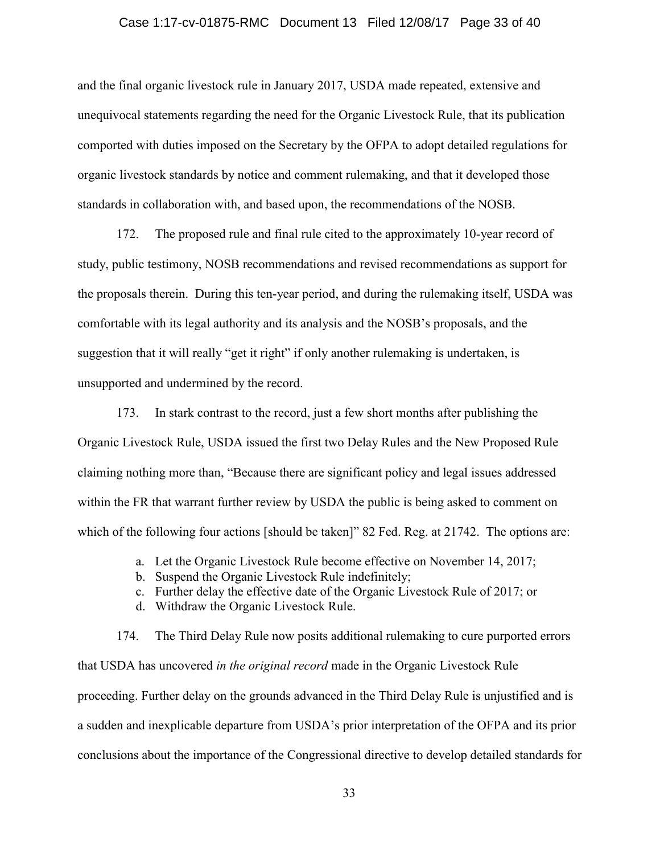#### Case 1:17-cv-01875-RMC Document 13 Filed 12/08/17 Page 33 of 40

and the final organic livestock rule in January 2017, USDA made repeated, extensive and unequivocal statements regarding the need for the Organic Livestock Rule, that its publication comported with duties imposed on the Secretary by the OFPA to adopt detailed regulations for organic livestock standards by notice and comment rulemaking, and that it developed those standards in collaboration with, and based upon, the recommendations of the NOSB.

172. The proposed rule and final rule cited to the approximately 10-year record of study, public testimony, NOSB recommendations and revised recommendations as support for the proposals therein. During this ten-year period, and during the rulemaking itself, USDA was comfortable with its legal authority and its analysis and the NOSB's proposals, and the suggestion that it will really "get it right" if only another rulemaking is undertaken, is unsupported and undermined by the record.

173. In stark contrast to the record, just a few short months after publishing the Organic Livestock Rule, USDA issued the first two Delay Rules and the New Proposed Rule claiming nothing more than, "Because there are significant policy and legal issues addressed within the FR that warrant further review by USDA the public is being asked to comment on which of the following four actions [should be taken]" 82 Fed. Reg. at 21742. The options are:

- a. Let the Organic Livestock Rule become effective on November 14, 2017;
- b. Suspend the Organic Livestock Rule indefinitely;
- c. Further delay the effective date of the Organic Livestock Rule of 2017; or
- d. Withdraw the Organic Livestock Rule.

174. The Third Delay Rule now posits additional rulemaking to cure purported errors that USDA has uncovered *in the original record* made in the Organic Livestock Rule proceeding. Further delay on the grounds advanced in the Third Delay Rule is unjustified and is a sudden and inexplicable departure from USDA's prior interpretation of the OFPA and its prior conclusions about the importance of the Congressional directive to develop detailed standards for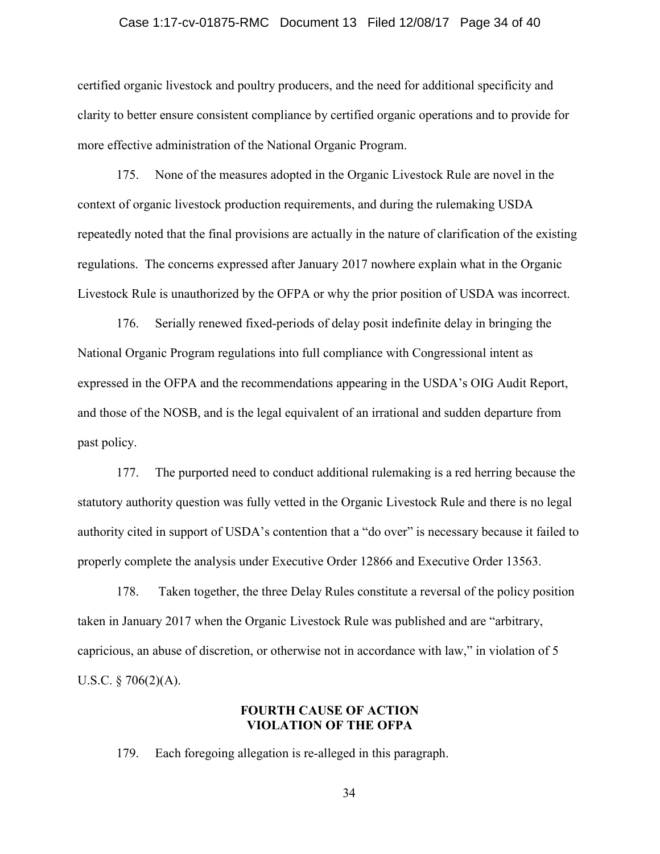#### Case 1:17-cv-01875-RMC Document 13 Filed 12/08/17 Page 34 of 40

certified organic livestock and poultry producers, and the need for additional specificity and clarity to better ensure consistent compliance by certified organic operations and to provide for more effective administration of the National Organic Program.

175. None of the measures adopted in the Organic Livestock Rule are novel in the context of organic livestock production requirements, and during the rulemaking USDA repeatedly noted that the final provisions are actually in the nature of clarification of the existing regulations. The concerns expressed after January 2017 nowhere explain what in the Organic Livestock Rule is unauthorized by the OFPA or why the prior position of USDA was incorrect.

176. Serially renewed fixed-periods of delay posit indefinite delay in bringing the National Organic Program regulations into full compliance with Congressional intent as expressed in the OFPA and the recommendations appearing in the USDA's OIG Audit Report, and those of the NOSB, and is the legal equivalent of an irrational and sudden departure from past policy.

177. The purported need to conduct additional rulemaking is a red herring because the statutory authority question was fully vetted in the Organic Livestock Rule and there is no legal authority cited in support of USDA's contention that a "do over" is necessary because it failed to properly complete the analysis under Executive Order 12866 and Executive Order 13563.

178. Taken together, the three Delay Rules constitute a reversal of the policy position taken in January 2017 when the Organic Livestock Rule was published and are "arbitrary, capricious, an abuse of discretion, or otherwise not in accordance with law," in violation of 5 U.S.C.  $\S 706(2)(A)$ .

## FOURTH CAUSE OF ACTION VIOLATION OF THE OFPA

179. Each foregoing allegation is re-alleged in this paragraph.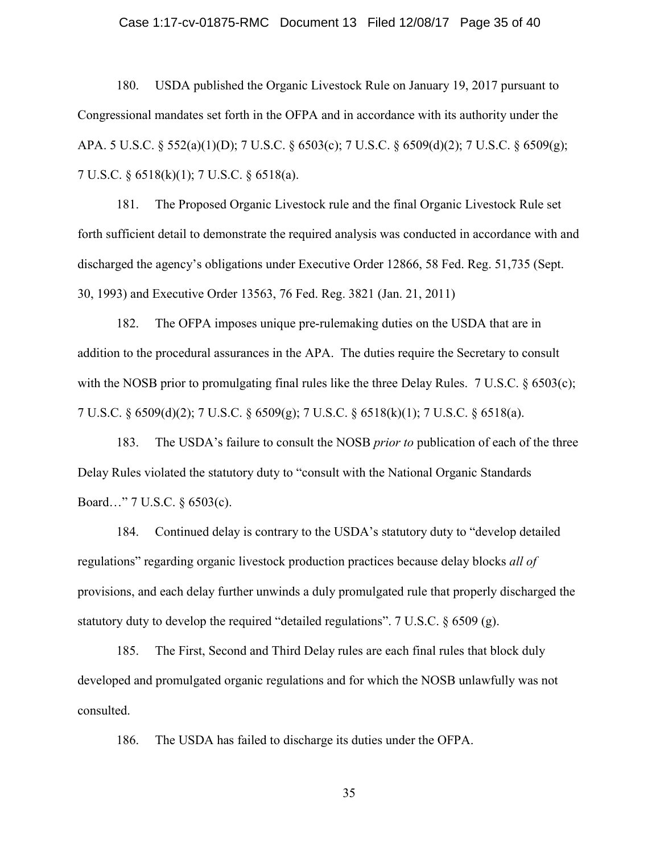#### Case 1:17-cv-01875-RMC Document 13 Filed 12/08/17 Page 35 of 40

180. USDA published the Organic Livestock Rule on January 19, 2017 pursuant to Congressional mandates set forth in the OFPA and in accordance with its authority under the APA. 5 U.S.C. § 552(a)(1)(D); 7 U.S.C. § 6503(c); 7 U.S.C. § 6509(d)(2); 7 U.S.C. § 6509(g); 7 U.S.C. § 6518(k)(1); 7 U.S.C. § 6518(a).

181. The Proposed Organic Livestock rule and the final Organic Livestock Rule set forth sufficient detail to demonstrate the required analysis was conducted in accordance with and discharged the agency's obligations under Executive Order 12866, 58 Fed. Reg. 51,735 (Sept. 30, 1993) and Executive Order 13563, 76 Fed. Reg. 3821 (Jan. 21, 2011)

182. The OFPA imposes unique pre-rulemaking duties on the USDA that are in addition to the procedural assurances in the APA. The duties require the Secretary to consult with the NOSB prior to promulgating final rules like the three Delay Rules.  $7 \text{ U.S.C. }$   $\&$  6503(c); 7 U.S.C. § 6509(d)(2); 7 U.S.C. § 6509(g); 7 U.S.C. § 6518(k)(1); 7 U.S.C. § 6518(a).

183. The USDA's failure to consult the NOSB *prior to* publication of each of the three Delay Rules violated the statutory duty to "consult with the National Organic Standards Board…" 7 U.S.C. § 6503(c).

184. Continued delay is contrary to the USDA's statutory duty to "develop detailed regulations" regarding organic livestock production practices because delay blocks *all of*  provisions, and each delay further unwinds a duly promulgated rule that properly discharged the statutory duty to develop the required "detailed regulations". 7 U.S.C. § 6509 (g).

185. The First, Second and Third Delay rules are each final rules that block duly developed and promulgated organic regulations and for which the NOSB unlawfully was not consulted.

186. The USDA has failed to discharge its duties under the OFPA.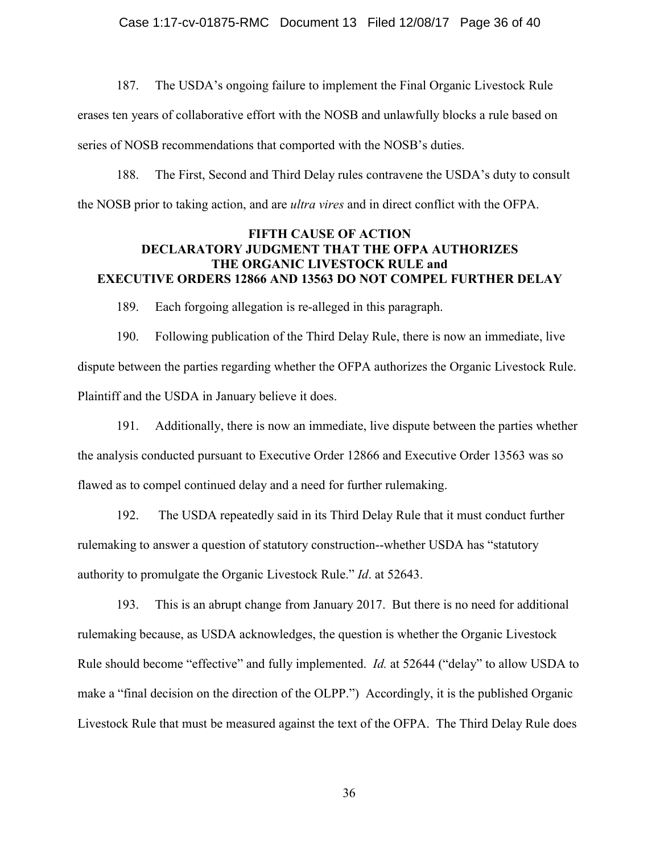187. The USDA's ongoing failure to implement the Final Organic Livestock Rule erases ten years of collaborative effort with the NOSB and unlawfully blocks a rule based on series of NOSB recommendations that comported with the NOSB's duties.

188. The First, Second and Third Delay rules contravene the USDA's duty to consult the NOSB prior to taking action, and are *ultra vires* and in direct conflict with the OFPA.

## FIFTH CAUSE OF ACTION DECLARATORY JUDGMENT THAT THE OFPA AUTHORIZES THE ORGANIC LIVESTOCK RULE and EXECUTIVE ORDERS 12866 AND 13563 DO NOT COMPEL FURTHER DELAY

189. Each forgoing allegation is re-alleged in this paragraph.

190. Following publication of the Third Delay Rule, there is now an immediate, live dispute between the parties regarding whether the OFPA authorizes the Organic Livestock Rule. Plaintiff and the USDA in January believe it does.

191. Additionally, there is now an immediate, live dispute between the parties whether the analysis conducted pursuant to Executive Order 12866 and Executive Order 13563 was so flawed as to compel continued delay and a need for further rulemaking.

192. The USDA repeatedly said in its Third Delay Rule that it must conduct further rulemaking to answer a question of statutory construction--whether USDA has "statutory authority to promulgate the Organic Livestock Rule." *Id*. at 52643.

193. This is an abrupt change from January 2017. But there is no need for additional rulemaking because, as USDA acknowledges, the question is whether the Organic Livestock Rule should become "effective" and fully implemented. *Id.* at 52644 ("delay" to allow USDA to make a "final decision on the direction of the OLPP.") Accordingly, it is the published Organic Livestock Rule that must be measured against the text of the OFPA. The Third Delay Rule does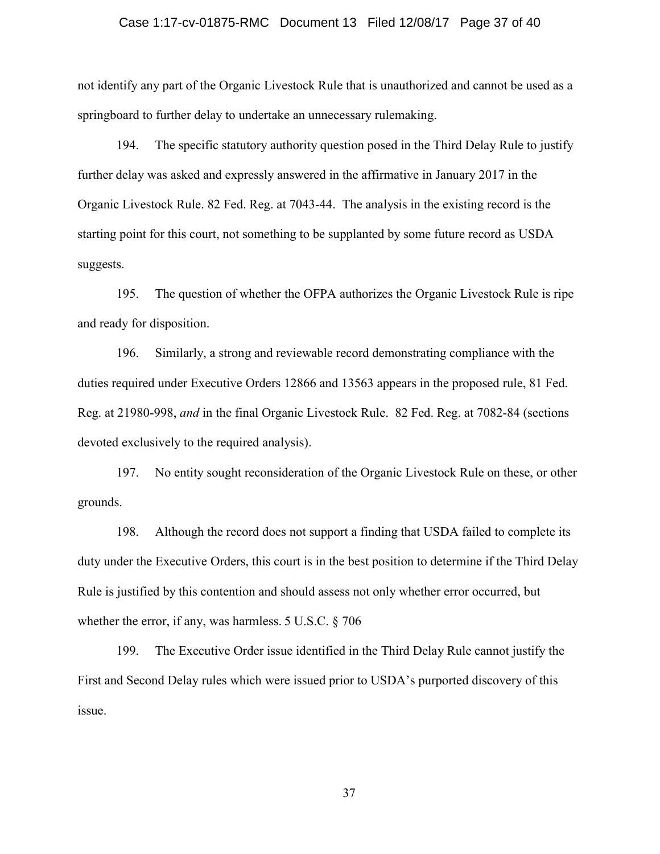#### Case 1:17-cv-01875-RMC Document 13 Filed 12/08/17 Page 37 of 40

not identify any part of the Organic Livestock Rule that is unauthorized and cannot be used as a springboard to further delay to undertake an unnecessary rulemaking.

194. The specific statutory authority question posed in the Third Delay Rule to justify further delay was asked and expressly answered in the affirmative in January 2017 in the Organic Livestock Rule. 82 Fed. Reg. at 7043-44. The analysis in the existing record is the starting point for this court, not something to be supplanted by some future record as USDA suggests.

195. The question of whether the OFPA authorizes the Organic Livestock Rule is ripe and ready for disposition.

196. Similarly, a strong and reviewable record demonstrating compliance with the duties required under Executive Orders 12866 and 13563 appears in the proposed rule, 81 Fed. Reg. at 21980-998, *and* in the final Organic Livestock Rule. 82 Fed. Reg. at 7082-84 (sections devoted exclusively to the required analysis).

197. No entity sought reconsideration of the Organic Livestock Rule on these, or other grounds.

198. Although the record does not support a finding that USDA failed to complete its duty under the Executive Orders, this court is in the best position to determine if the Third Delay Rule is justified by this contention and should assess not only whether error occurred, but whether the error, if any, was harmless. 5 U.S.C. § 706

199. The Executive Order issue identified in the Third Delay Rule cannot justify the First and Second Delay rules which were issued prior to USDA's purported discovery of this issue.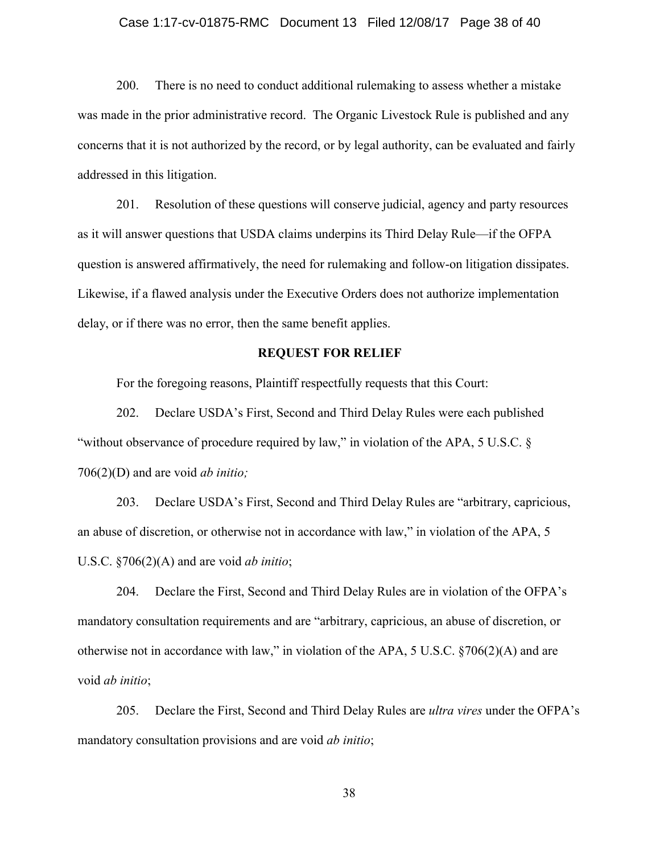#### Case 1:17-cv-01875-RMC Document 13 Filed 12/08/17 Page 38 of 40

200. There is no need to conduct additional rulemaking to assess whether a mistake was made in the prior administrative record. The Organic Livestock Rule is published and any concerns that it is not authorized by the record, or by legal authority, can be evaluated and fairly addressed in this litigation.

201. Resolution of these questions will conserve judicial, agency and party resources as it will answer questions that USDA claims underpins its Third Delay Rule—if the OFPA question is answered affirmatively, the need for rulemaking and follow-on litigation dissipates. Likewise, if a flawed analysis under the Executive Orders does not authorize implementation delay, or if there was no error, then the same benefit applies.

### REQUEST FOR RELIEF

For the foregoing reasons, Plaintiff respectfully requests that this Court:

202. Declare USDA's First, Second and Third Delay Rules were each published "without observance of procedure required by law," in violation of the APA, 5 U.S.C. § 706(2)(D) and are void *ab initio;*

203. Declare USDA's First, Second and Third Delay Rules are "arbitrary, capricious, an abuse of discretion, or otherwise not in accordance with law," in violation of the APA, 5 U.S.C. §706(2)(A) and are void *ab initio*;

204. Declare the First, Second and Third Delay Rules are in violation of the OFPA's mandatory consultation requirements and are "arbitrary, capricious, an abuse of discretion, or otherwise not in accordance with law," in violation of the APA, 5 U.S.C. §706(2)(A) and are void *ab initio*;

205. Declare the First, Second and Third Delay Rules are *ultra vires* under the OFPA's mandatory consultation provisions and are void *ab initio*;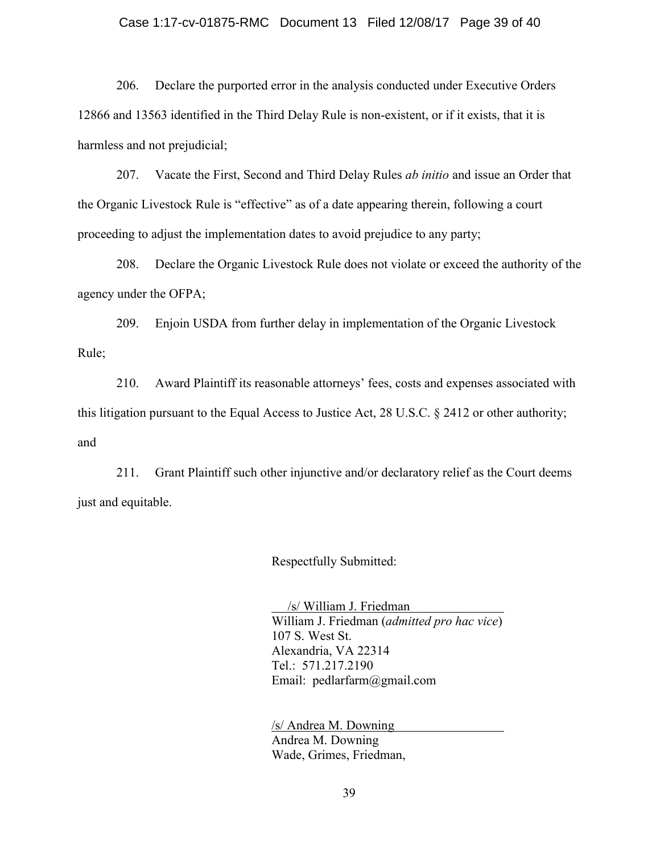#### Case 1:17-cv-01875-RMC Document 13 Filed 12/08/17 Page 39 of 40

206. Declare the purported error in the analysis conducted under Executive Orders 12866 and 13563 identified in the Third Delay Rule is non-existent, or if it exists, that it is harmless and not prejudicial;

207. Vacate the First, Second and Third Delay Rules *ab initio* and issue an Order that the Organic Livestock Rule is "effective" as of a date appearing therein, following a court proceeding to adjust the implementation dates to avoid prejudice to any party;

208. Declare the Organic Livestock Rule does not violate or exceed the authority of the agency under the OFPA;

209. Enjoin USDA from further delay in implementation of the Organic Livestock Rule;

210. Award Plaintiff its reasonable attorneys' fees, costs and expenses associated with this litigation pursuant to the Equal Access to Justice Act, 28 U.S.C. § 2412 or other authority; and

211. Grant Plaintiff such other injunctive and/or declaratory relief as the Court deems just and equitable.

Respectfully Submitted:

 /s/ William J. Friedman William J. Friedman (*admitted pro hac vice*) 107 S. West St. Alexandria, VA 22314 Tel.: 571.217.2190 Email: pedlarfarm@gmail.com

/s/ Andrea M. Downing Andrea M. Downing Wade, Grimes, Friedman,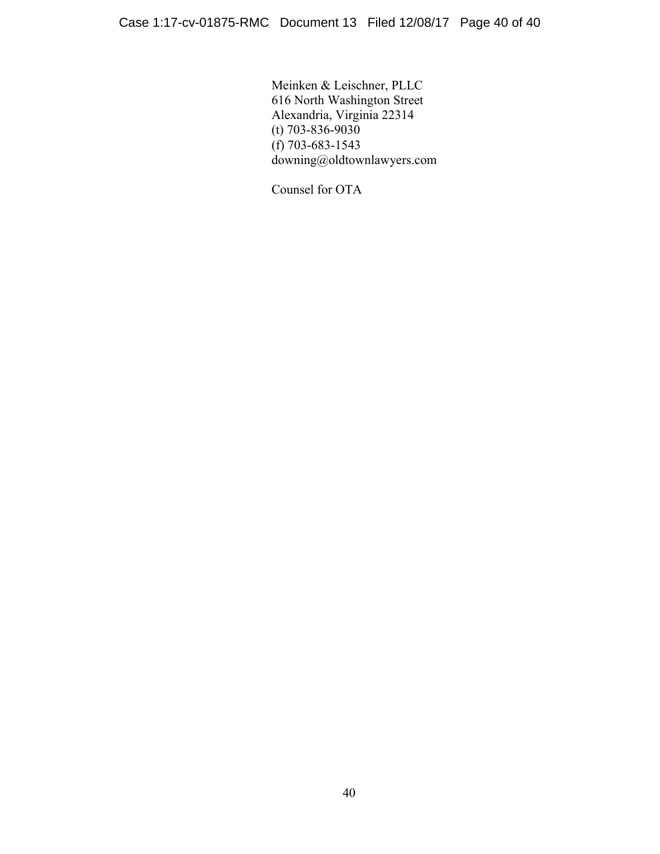Meinken & Leischner, PLLC 616 North Washington Street Alexandria, Virginia 22314 (t) 703-836-9030  $(f)$  703-683-1543 downing@oldtownlawyers.com

Counsel for OTA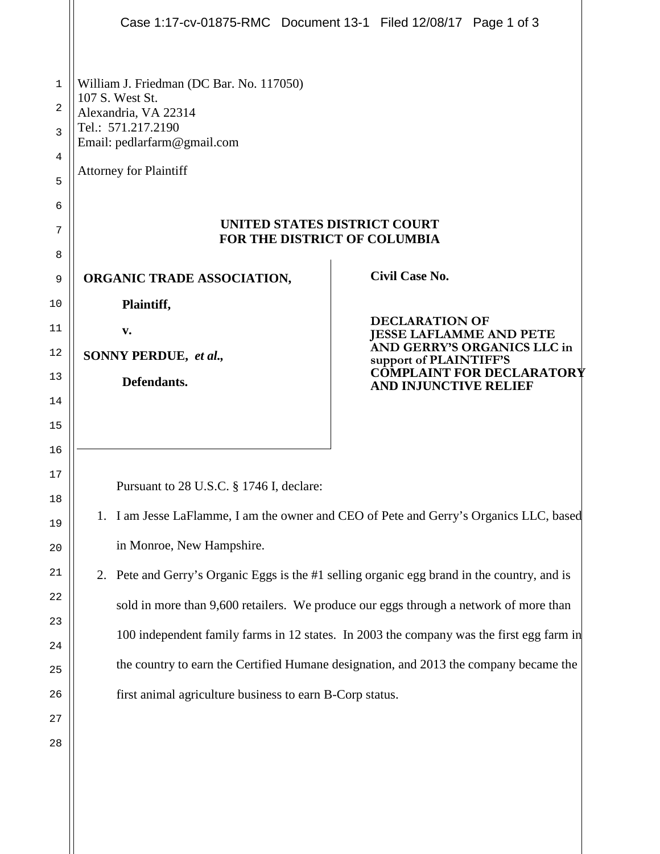|    | Case 1:17-cv-01875-RMC Document 13-1 Filed 12/08/17 Page 1 of 3                          |                                                                                             |  |  |  |  |  |  |
|----|------------------------------------------------------------------------------------------|---------------------------------------------------------------------------------------------|--|--|--|--|--|--|
|    |                                                                                          |                                                                                             |  |  |  |  |  |  |
| 1  | William J. Friedman (DC Bar. No. 117050)                                                 |                                                                                             |  |  |  |  |  |  |
| 2  | 107 S. West St.<br>Alexandria, VA 22314                                                  |                                                                                             |  |  |  |  |  |  |
| 3  | Tel.: 571.217.2190<br>Email: pedlarfarm@gmail.com                                        |                                                                                             |  |  |  |  |  |  |
| 4  |                                                                                          |                                                                                             |  |  |  |  |  |  |
| 5  | <b>Attorney for Plaintiff</b>                                                            |                                                                                             |  |  |  |  |  |  |
| 6  |                                                                                          |                                                                                             |  |  |  |  |  |  |
| 7  | UNITED STATES DISTRICT COURT<br>FOR THE DISTRICT OF COLUMBIA                             |                                                                                             |  |  |  |  |  |  |
| 8  |                                                                                          |                                                                                             |  |  |  |  |  |  |
| 9  | <b>ORGANIC TRADE ASSOCIATION,</b>                                                        | <b>Civil Case No.</b>                                                                       |  |  |  |  |  |  |
| 10 | Plaintiff,                                                                               |                                                                                             |  |  |  |  |  |  |
| 11 | v.                                                                                       | <b>DECLARATION OF</b><br><b>JESSE LAFLAMME AND PETE</b>                                     |  |  |  |  |  |  |
| 12 | AND GERRY'S ORGANICS LLC in<br>SONNY PERDUE, et al.,<br>support of PLAINTIFF'S           |                                                                                             |  |  |  |  |  |  |
| 13 | Defendants.                                                                              | COMPLAINT FOR DECLARATORY<br><b>AND INJUNCTIVE RELIEF</b>                                   |  |  |  |  |  |  |
| 14 |                                                                                          |                                                                                             |  |  |  |  |  |  |
| 15 |                                                                                          |                                                                                             |  |  |  |  |  |  |
| 16 |                                                                                          |                                                                                             |  |  |  |  |  |  |
| 17 | Pursuant to 28 U.S.C. § 1746 I, declare:                                                 |                                                                                             |  |  |  |  |  |  |
| 18 |                                                                                          |                                                                                             |  |  |  |  |  |  |
| 19 | 1. I am Jesse LaFlamme, I am the owner and CEO of Pete and Gerry's Organics LLC, based   |                                                                                             |  |  |  |  |  |  |
| 20 | in Monroe, New Hampshire.                                                                |                                                                                             |  |  |  |  |  |  |
| 21 |                                                                                          | 2. Pete and Gerry's Organic Eggs is the #1 selling organic egg brand in the country, and is |  |  |  |  |  |  |
| 22 |                                                                                          | sold in more than 9,600 retailers. We produce our eggs through a network of more than       |  |  |  |  |  |  |
| 23 |                                                                                          |                                                                                             |  |  |  |  |  |  |
| 24 | 100 independent family farms in 12 states. In 2003 the company was the first egg farm in |                                                                                             |  |  |  |  |  |  |
| 25 |                                                                                          | the country to earn the Certified Humane designation, and 2013 the company became the       |  |  |  |  |  |  |
| 26 | first animal agriculture business to earn B-Corp status.                                 |                                                                                             |  |  |  |  |  |  |
| 27 |                                                                                          |                                                                                             |  |  |  |  |  |  |
| 28 |                                                                                          |                                                                                             |  |  |  |  |  |  |
|    |                                                                                          |                                                                                             |  |  |  |  |  |  |
|    |                                                                                          |                                                                                             |  |  |  |  |  |  |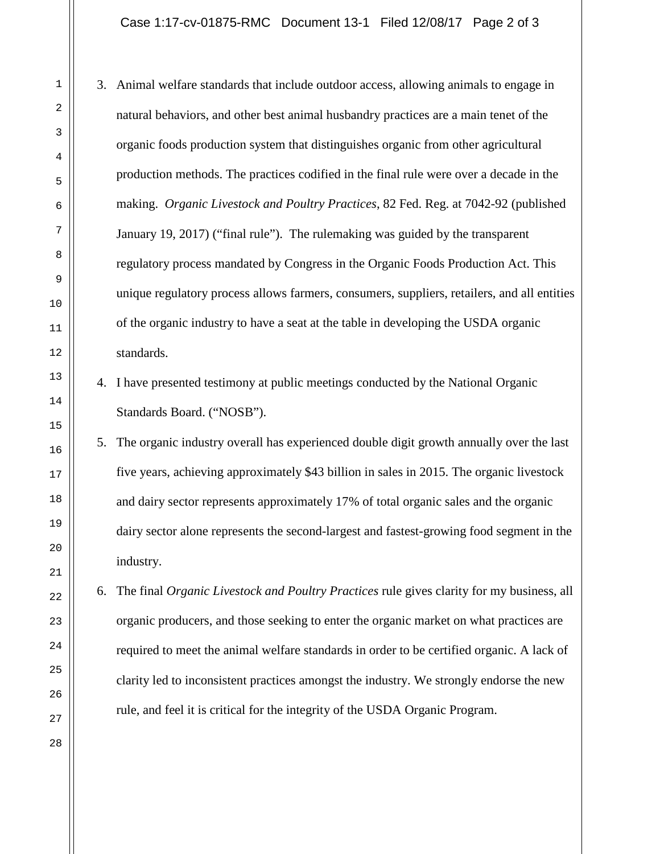### Case 1:17-cv-01875-RMC Document 13-1 Filed 12/08/17 Page 2 of 3

- 3. Animal welfare standards that include outdoor access, allowing animals to engage in natural behaviors, and other best animal husbandry practices are a main tenet of the organic foods production system that distinguishes organic from other agricultural production methods. The practices codified in the final rule were over a decade in the making. *Organic Livestock and Poultry Practices*, 82 Fed. Reg. at 7042-92 (published January 19, 2017) ("final rule"). The rulemaking was guided by the transparent regulatory process mandated by Congress in the Organic Foods Production Act. This unique regulatory process allows farmers, consumers, suppliers, retailers, and all entities of the organic industry to have a seat at the table in developing the USDA organic standards.
- 4. I have presented testimony at public meetings conducted by the National Organic Standards Board. ("NOSB").
- 5. The organic industry overall has experienced double digit growth annually over the last five years, achieving approximately \$43 billion in sales in 2015. The organic livestock and dairy sector represents approximately 17% of total organic sales and the organic dairy sector alone represents the second-largest and fastest-growing food segment in the industry.
- 6. The final *Organic Livestock and Poultry Practices* rule gives clarity for my business, all organic producers, and those seeking to enter the organic market on what practices are required to meet the animal welfare standards in order to be certified organic. A lack of clarity led to inconsistent practices amongst the industry. We strongly endorse the new rule, and feel it is critical for the integrity of the USDA Organic Program.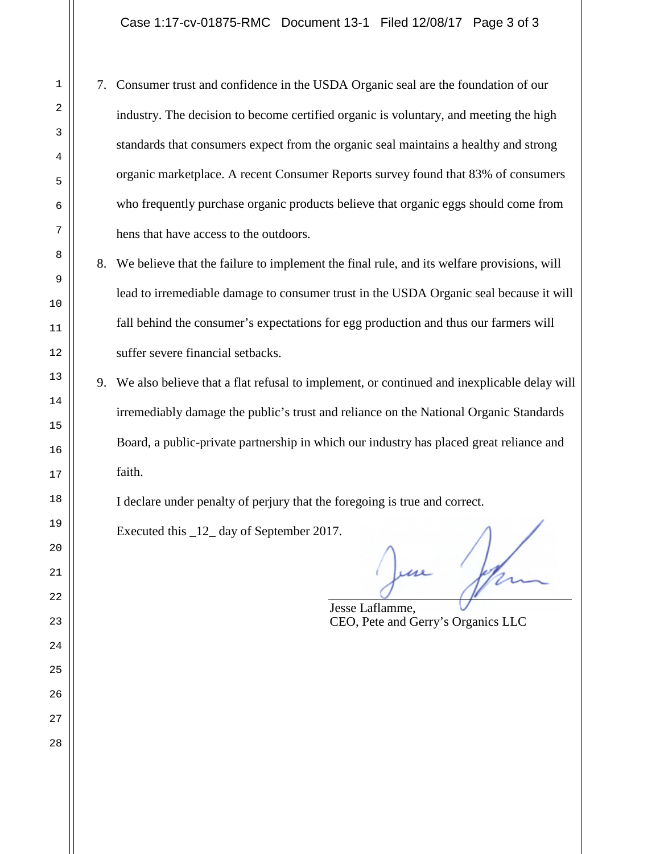Case 1:17-cv-01875-RMC Document 13-1 Filed 12/08/17 Page 3 of 3

- 7. Consumer trust and confidence in the USDA Organic seal are the foundation of our industry. The decision to become certified organic is voluntary, and meeting the high standards that consumers expect from the organic seal maintains a healthy and strong organic marketplace. A recent Consumer Reports survey found that 83% of consumers who frequently purchase organic products believe that organic eggs should come from hens that have access to the outdoors.
	- 8. We believe that the failure to implement the final rule, and its welfare provisions, will lead to irremediable damage to consumer trust in the USDA Organic seal because it will fall behind the consumer's expectations for egg production and thus our farmers will suffer severe financial setbacks.
- 9. We also believe that a flat refusal to implement, or continued and inexplicable delay will irremediably damage the public's trust and reliance on the National Organic Standards Board, a public-private partnership in which our industry has placed great reliance and faith.

I declare under penalty of perjury that the foregoing is true and correct.

Executed this \_12\_ day of September 2017.

Jesse Laflamme, CEO, Pete and Gerry's Organics LLC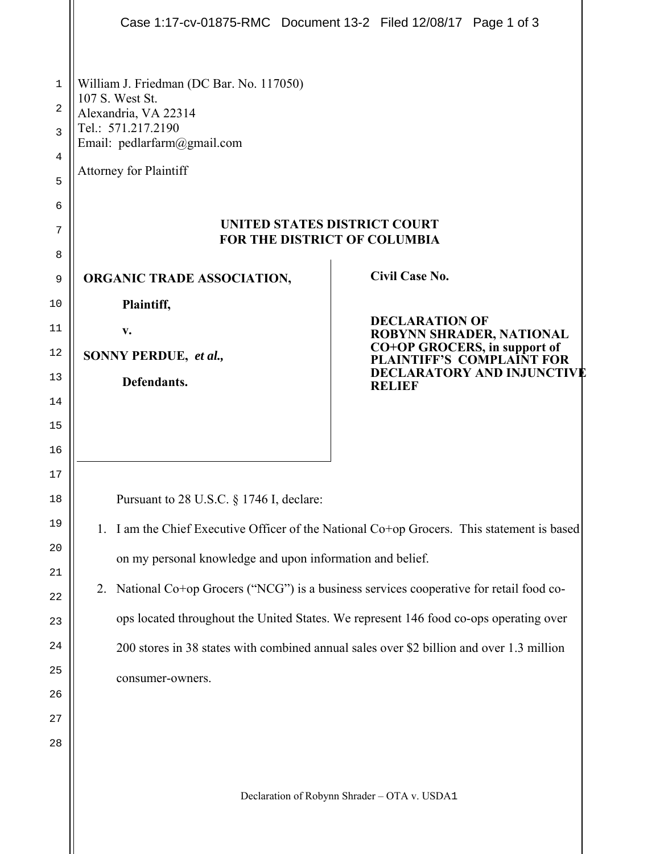|                                                                                                                                                                                                                                                                                                                                                                                                                                                                                                                | Case 1:17-cv-01875-RMC Document 13-2 Filed 12/08/17 Page 1 of 3 |  |  |  |  |  |  |
|----------------------------------------------------------------------------------------------------------------------------------------------------------------------------------------------------------------------------------------------------------------------------------------------------------------------------------------------------------------------------------------------------------------------------------------------------------------------------------------------------------------|-----------------------------------------------------------------|--|--|--|--|--|--|
| William J. Friedman (DC Bar. No. 117050)<br>107 S. West St.<br>Alexandria, VA 22314<br>Tel.: 571.217.2190<br>Email: pedlarfarm@gmail.com<br><b>Attorney for Plaintiff</b><br><b>UNITED STATES DISTRICT COURT</b><br>FOR THE DISTRICT OF COLUMBIA<br><b>Civil Case No.</b><br><b>ORGANIC TRADE ASSOCIATION,</b><br>Plaintiff,                                                                                                                                                                                   |                                                                 |  |  |  |  |  |  |
| v.                                                                                                                                                                                                                                                                                                                                                                                                                                                                                                             | <b>DECLARATION OF</b><br>ROBYNN SHRADER, NATIONAL               |  |  |  |  |  |  |
| CO+OP GROCERS, in support of<br>12<br>SONNY PERDUE, et al.,<br><b>PLAINTIFF'S COMPLAINT FOR</b>                                                                                                                                                                                                                                                                                                                                                                                                                |                                                                 |  |  |  |  |  |  |
| <b>DECLARATORY AND INJUNCTIVE</b><br>Defendants.<br><b>RELIEF</b>                                                                                                                                                                                                                                                                                                                                                                                                                                              |                                                                 |  |  |  |  |  |  |
|                                                                                                                                                                                                                                                                                                                                                                                                                                                                                                                |                                                                 |  |  |  |  |  |  |
|                                                                                                                                                                                                                                                                                                                                                                                                                                                                                                                |                                                                 |  |  |  |  |  |  |
| Pursuant to 28 U.S.C. § 1746 I, declare:<br>I am the Chief Executive Officer of the National Co+op Grocers. This statement is based<br>1.<br>on my personal knowledge and upon information and belief.<br>National Co+op Grocers ("NCG") is a business services cooperative for retail food co-<br>2.<br>ops located throughout the United States. We represent 146 food co-ops operating over<br>200 stores in 38 states with combined annual sales over \$2 billion and over 1.3 million<br>consumer-owners. |                                                                 |  |  |  |  |  |  |
|                                                                                                                                                                                                                                                                                                                                                                                                                                                                                                                |                                                                 |  |  |  |  |  |  |

Declaration of Robynn Shrader – OTA v. USDA1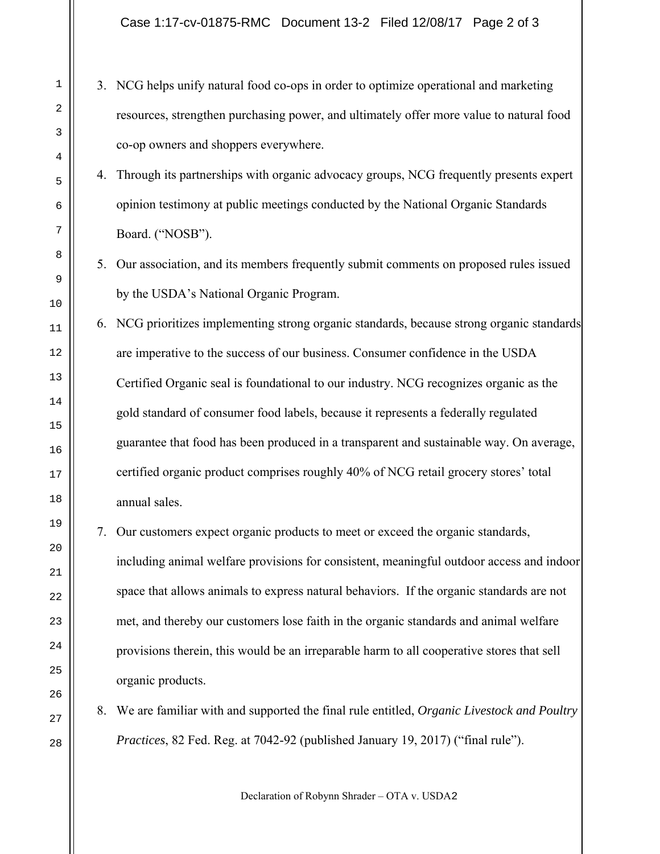Case 1:17-cv-01875-RMC Document 13-2 Filed 12/08/17 Page 2 of 3

- 3. NCG helps unify natural food co-ops in order to optimize operational and marketing resources, strengthen purchasing power, and ultimately offer more value to natural food co-op owners and shoppers everywhere.
	- 4. Through its partnerships with organic advocacy groups, NCG frequently presents expert opinion testimony at public meetings conducted by the National Organic Standards Board. ("NOSB").
	- 5. Our association, and its members frequently submit comments on proposed rules issued by the USDA's National Organic Program.
	- 6. NCG prioritizes implementing strong organic standards, because strong organic standards are imperative to the success of our business. Consumer confidence in the USDA Certified Organic seal is foundational to our industry. NCG recognizes organic as the gold standard of consumer food labels, because it represents a federally regulated guarantee that food has been produced in a transparent and sustainable way. On average, certified organic product comprises roughly 40% of NCG retail grocery stores' total annual sales.
	- 7. Our customers expect organic products to meet or exceed the organic standards, including animal welfare provisions for consistent, meaningful outdoor access and indoor space that allows animals to express natural behaviors. If the organic standards are not met, and thereby our customers lose faith in the organic standards and animal welfare provisions therein, this would be an irreparable harm to all cooperative stores that sell organic products.
- 8. We are familiar with and supported the final rule entitled, *Organic Livestock and Poultry Practices*, 82 Fed. Reg. at 7042-92 (published January 19, 2017) ("final rule").

Declaration of Robynn Shrader – OTA v. USDA2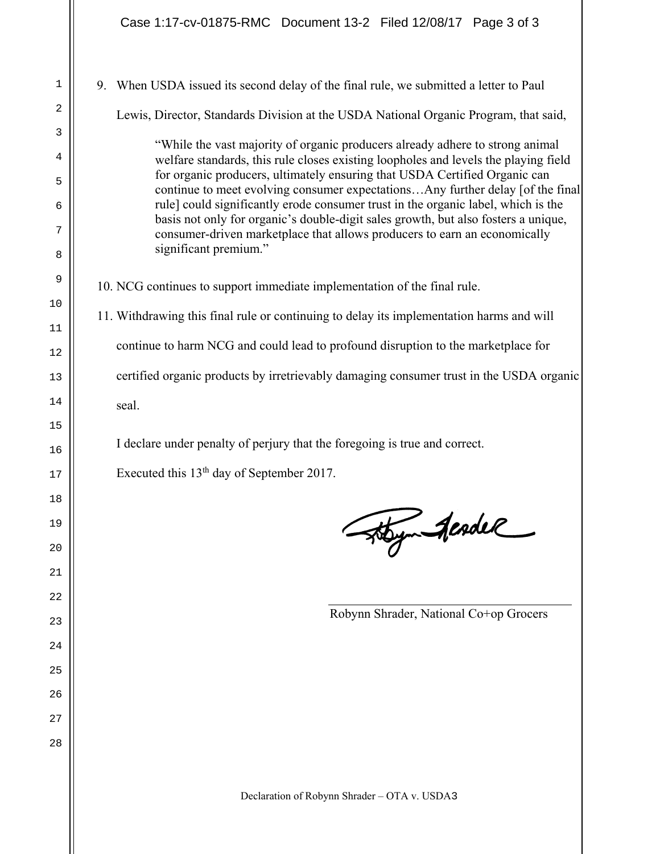1

2

3

4

5

6

7

8

9

10

11

12

13

14

15

16

17

18

19

20

21

22

23

24

25

26

27

28

9. When USDA issued its second delay of the final rule, we submitted a letter to Paul Lewis, Director, Standards Division at the USDA National Organic Program, that said, "While the vast majority of organic producers already adhere to strong animal welfare standards, this rule closes existing loopholes and levels the playing field for organic producers, ultimately ensuring that USDA Certified Organic can continue to meet evolving consumer expectations…Any further delay [of the final rule] could significantly erode consumer trust in the organic label, which is the basis not only for organic's double-digit sales growth, but also fosters a unique, consumer-driven marketplace that allows producers to earn an economically significant premium." 10. NCG continues to support immediate implementation of the final rule. 11. Withdrawing this final rule or continuing to delay its implementation harms and will continue to harm NCG and could lead to profound disruption to the marketplace for certified organic products by irretrievably damaging consumer trust in the USDA organic seal. I declare under penalty of perjury that the foregoing is true and correct. Executed this 13th day of September 2017. Hoym AcadeR Robynn Shrader, National Co+op Grocers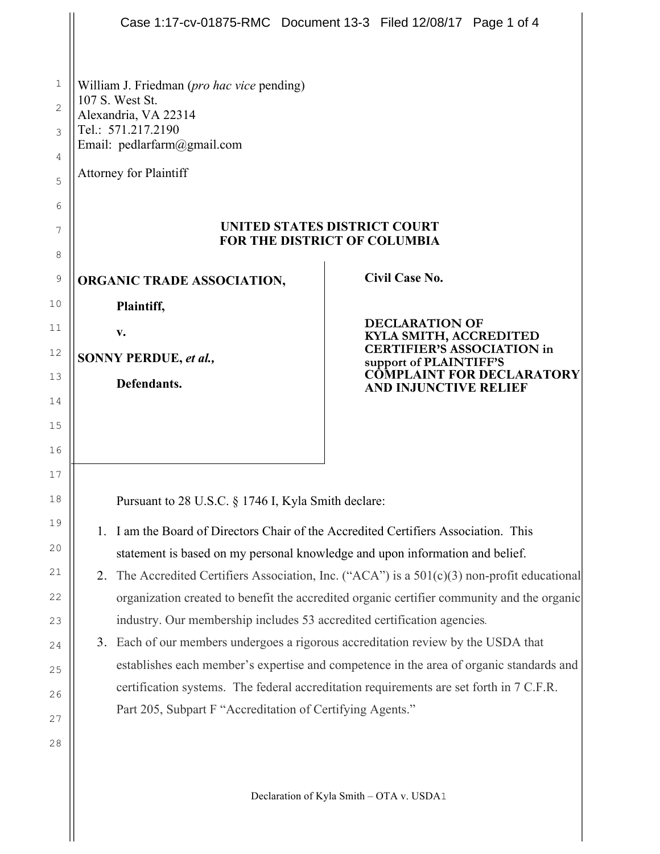|                          | Case 1:17-cv-01875-RMC  Document 13-3  Filed 12/08/17  Page 1 of 4                                                                                                  |                                                                  |                       |  |  |  |  |
|--------------------------|---------------------------------------------------------------------------------------------------------------------------------------------------------------------|------------------------------------------------------------------|-----------------------|--|--|--|--|
| 1<br>$\overline{2}$<br>3 | William J. Friedman ( <i>pro hac vice</i> pending)<br>107 S. West St.<br>Alexandria, VA 22314<br>Tel.: 571.217.2190<br>Email: pedlarfarm@gmail.com                  |                                                                  |                       |  |  |  |  |
| 4<br>5                   | <b>Attorney for Plaintiff</b>                                                                                                                                       |                                                                  |                       |  |  |  |  |
| 6<br>7<br>8              | UNITED STATES DISTRICT COURT<br><b>FOR THE DISTRICT OF COLUMBIA</b>                                                                                                 |                                                                  |                       |  |  |  |  |
| 9                        | ORGANIC TRADE ASSOCIATION,                                                                                                                                          |                                                                  | <b>Civil Case No.</b> |  |  |  |  |
| 10                       | Plaintiff,                                                                                                                                                          |                                                                  |                       |  |  |  |  |
| 11                       | V.                                                                                                                                                                  | <b>DECLARATION OF</b><br>KYLA SMITH, ACCREDITED                  |                       |  |  |  |  |
| 12                       | SONNY PERDUE, et al.,                                                                                                                                               | <b>CERTIFIER'S ASSOCIATION in</b><br>support of PLAINTIFF'S      |                       |  |  |  |  |
| 13                       | Defendants.                                                                                                                                                         | <b>COMPLAINT FOR DECLARATORY</b><br><b>AND INJUNCTIVE RELIEF</b> |                       |  |  |  |  |
| 14                       |                                                                                                                                                                     |                                                                  |                       |  |  |  |  |
| 15<br>16                 |                                                                                                                                                                     |                                                                  |                       |  |  |  |  |
| 17                       |                                                                                                                                                                     |                                                                  |                       |  |  |  |  |
| 18                       | Pursuant to 28 U.S.C. § 1746 I, Kyla Smith declare:                                                                                                                 |                                                                  |                       |  |  |  |  |
| 19                       |                                                                                                                                                                     |                                                                  |                       |  |  |  |  |
| 20                       | 1. I am the Board of Directors Chair of the Accredited Certifiers Association. This<br>statement is based on my personal knowledge and upon information and belief. |                                                                  |                       |  |  |  |  |
| 21                       | The Accredited Certifiers Association, Inc. ("ACA") is a $501(c)(3)$ non-profit educational<br>2.                                                                   |                                                                  |                       |  |  |  |  |
| 22                       | organization created to benefit the accredited organic certifier community and the organic                                                                          |                                                                  |                       |  |  |  |  |
| 23                       | industry. Our membership includes 53 accredited certification agencies.                                                                                             |                                                                  |                       |  |  |  |  |
| 24                       | 3. Each of our members undergoes a rigorous accreditation review by the USDA that                                                                                   |                                                                  |                       |  |  |  |  |
| 25                       | establishes each member's expertise and competence in the area of organic standards and                                                                             |                                                                  |                       |  |  |  |  |
| 26                       | certification systems. The federal accreditation requirements are set forth in 7 C.F.R.<br>Part 205, Subpart F "Accreditation of Certifying Agents."                |                                                                  |                       |  |  |  |  |
| 27                       |                                                                                                                                                                     |                                                                  |                       |  |  |  |  |
| 28                       |                                                                                                                                                                     |                                                                  |                       |  |  |  |  |
|                          |                                                                                                                                                                     |                                                                  |                       |  |  |  |  |

Declaration of Kyla Smith – OTA v. USDA1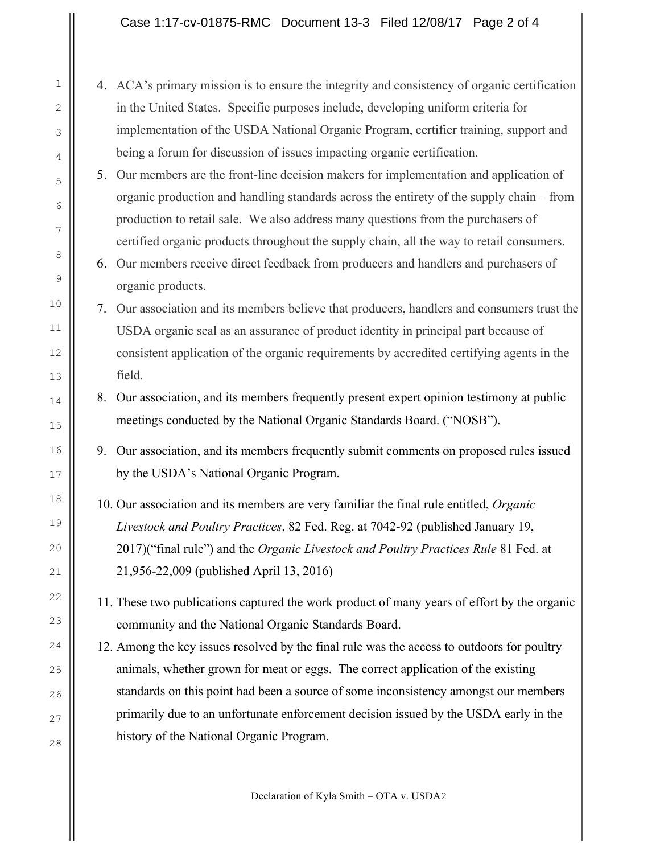# Case 1:17-cv-01875-RMC Document 13-3 Filed 12/08/17 Page 2 of 4

- 4. ACA's primary mission is to ensure the integrity and consistency of organic certification in the United States. Specific purposes include, developing uniform criteria for implementation of the USDA National Organic Program, certifier training, support and being a forum for discussion of issues impacting organic certification.
- 5. Our members are the front-line decision makers for implementation and application of organic production and handling standards across the entirety of the supply chain – from production to retail sale. We also address many questions from the purchasers of certified organic products throughout the supply chain, all the way to retail consumers.
- 6. Our members receive direct feedback from producers and handlers and purchasers of organic products.
- 7. Our association and its members believe that producers, handlers and consumers trust the USDA organic seal as an assurance of product identity in principal part because of consistent application of the organic requirements by accredited certifying agents in the field.
- 8. Our association, and its members frequently present expert opinion testimony at public meetings conducted by the National Organic Standards Board. ("NOSB").
- 9. Our association, and its members frequently submit comments on proposed rules issued by the USDA's National Organic Program.
- 10. Our association and its members are very familiar the final rule entitled, *Organic Livestock and Poultry Practices*, 82 Fed. Reg. at 7042-92 (published January 19, 2017)("final rule") and the *Organic Livestock and Poultry Practices Rule* 81 Fed. at 21,956-22,009 (published April 13, 2016)
- 11. These two publications captured the work product of many years of effort by the organic community and the National Organic Standards Board.
- 12. Among the key issues resolved by the final rule was the access to outdoors for poultry animals, whether grown for meat or eggs. The correct application of the existing standards on this point had been a source of some inconsistency amongst our members primarily due to an unfortunate enforcement decision issued by the USDA early in the history of the National Organic Program.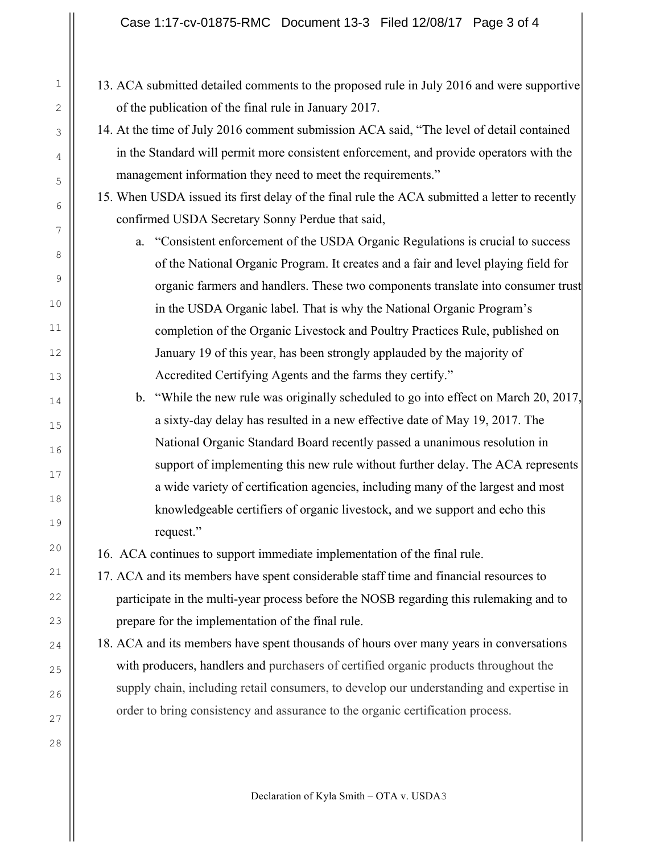## Case 1:17-cv-01875-RMC Document 13-3 Filed 12/08/17 Page 3 of 4

- 13. ACA submitted detailed comments to the proposed rule in July 2016 and were supportive of the publication of the final rule in January 2017.
	- 14. At the time of July 2016 comment submission ACA said, "The level of detail contained in the Standard will permit more consistent enforcement, and provide operators with the management information they need to meet the requirements."

15. When USDA issued its first delay of the final rule the ACA submitted a letter to recently confirmed USDA Secretary Sonny Perdue that said,

- a. "Consistent enforcement of the USDA Organic Regulations is crucial to success of the National Organic Program. It creates and a fair and level playing field for organic farmers and handlers. These two components translate into consumer trust in the USDA Organic label. That is why the National Organic Program's completion of the Organic Livestock and Poultry Practices Rule, published on January 19 of this year, has been strongly applauded by the majority of Accredited Certifying Agents and the farms they certify."
- b. "While the new rule was originally scheduled to go into effect on March 20, 2017, a sixty-day delay has resulted in a new effective date of May 19, 2017. The National Organic Standard Board recently passed a unanimous resolution in support of implementing this new rule without further delay. The ACA represents a wide variety of certification agencies, including many of the largest and most knowledgeable certifiers of organic livestock, and we support and echo this request."

16. ACA continues to support immediate implementation of the final rule.

- 17. ACA and its members have spent considerable staff time and financial resources to participate in the multi-year process before the NOSB regarding this rulemaking and to prepare for the implementation of the final rule.
- 18. ACA and its members have spent thousands of hours over many years in conversations with producers, handlers and purchasers of certified organic products throughout the supply chain, including retail consumers, to develop our understanding and expertise in order to bring consistency and assurance to the organic certification process.